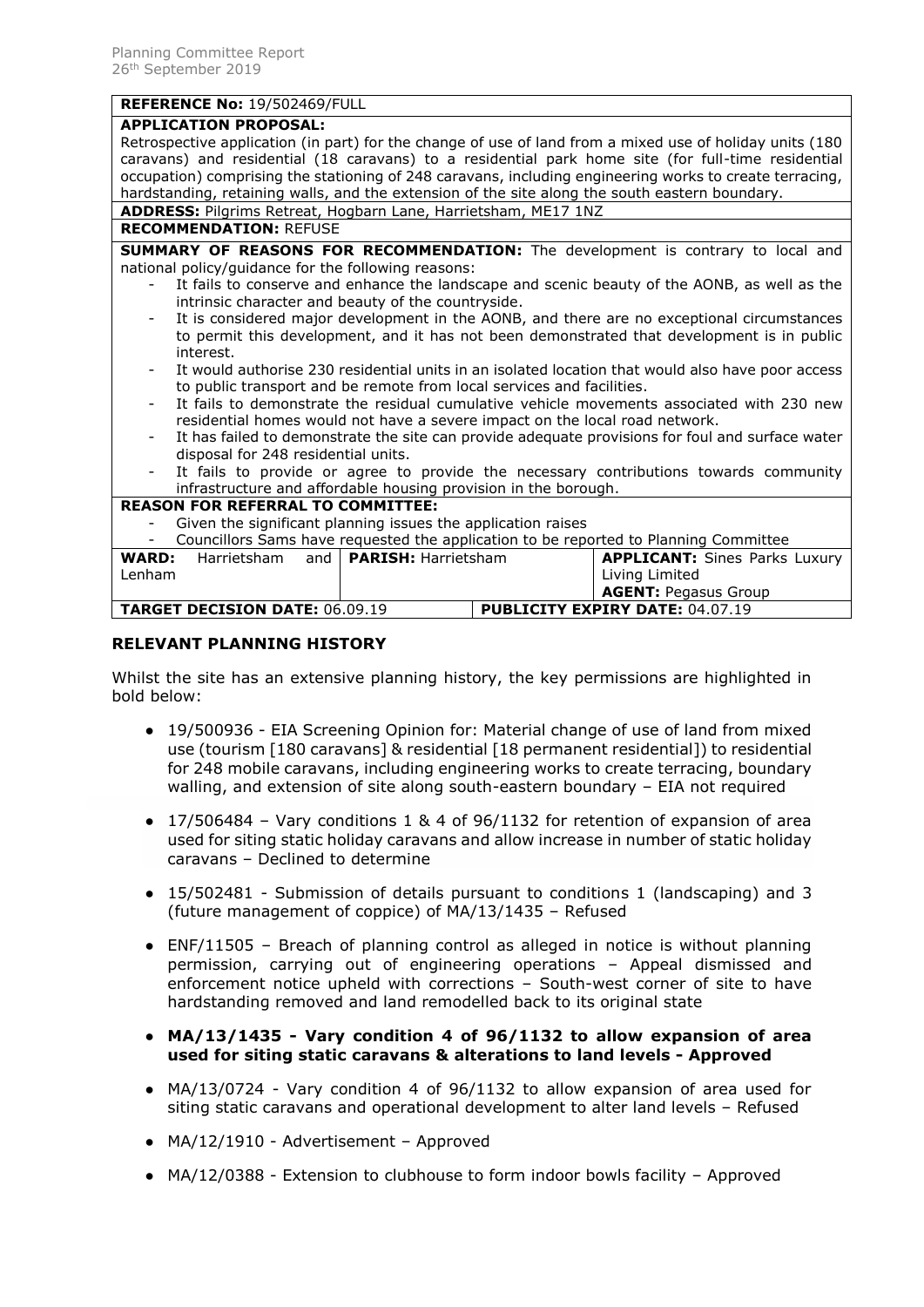# **REFERENCE No: 19/502469/FULL**

| <b>APPLICATION PROPOSAL:</b>                                                                                                                       |
|----------------------------------------------------------------------------------------------------------------------------------------------------|
| Retrospective application (in part) for the change of use of land from a mixed use of holiday units (180                                           |
| caravans) and residential (18 caravans) to a residential park home site (for full-time residential                                                 |
| occupation) comprising the stationing of 248 caravans, including engineering works to create terracing,                                            |
| hardstanding, retaining walls, and the extension of the site along the south eastern boundary.                                                     |
| ADDRESS: Pilgrims Retreat, Hogbarn Lane, Harrietsham, ME17 1NZ                                                                                     |
| <b>RECOMMENDATION: REFUSE</b>                                                                                                                      |
| <b>SUMMARY OF REASONS FOR RECOMMENDATION:</b> The development is contrary to local and                                                             |
| national policy/guidance for the following reasons:                                                                                                |
| It fails to conserve and enhance the landscape and scenic beauty of the AONB, as well as the<br>intrinsic character and beauty of the countryside. |
| It is considered major development in the AONB, and there are no exceptional circumstances                                                         |
| to permit this development, and it has not been demonstrated that development is in public                                                         |
| interest.                                                                                                                                          |
| It would authorise 230 residential units in an isolated location that would also have poor access                                                  |
| to public transport and be remote from local services and facilities.                                                                              |
| It fails to demonstrate the residual cumulative vehicle movements associated with 230 new                                                          |
| residential homes would not have a severe impact on the local road network.                                                                        |
| It has failed to demonstrate the site can provide adequate provisions for foul and surface water                                                   |
| disposal for 248 residential units.                                                                                                                |
| It fails to provide or agree to provide the necessary contributions towards community<br>$\overline{\phantom{a}}$                                  |
| infrastructure and affordable housing provision in the borough.                                                                                    |
| <b>REASON FOR REFERRAL TO COMMITTEE:</b>                                                                                                           |
| Given the significant planning issues the application raises                                                                                       |
| Councillors Sams have requested the application to be reported to Planning Committee                                                               |
| and   PARISH: Harrietsham<br><b>APPLICANT:</b> Sines Parks Luxury<br><b>WARD:</b><br>Harrietsham                                                   |
| Living Limited<br>Lenham                                                                                                                           |
| <b>AGENT: Pegasus Group</b>                                                                                                                        |
| <b>PUBLICITY EXPIRY DATE: 04.07.19</b><br><b>TARGET DECISION DATE: 06.09.19</b>                                                                    |
|                                                                                                                                                    |

## **RELEVANT PLANNING HISTORY**

Whilst the site has an extensive planning history, the key permissions are highlighted in bold below:

- 19/500936 EIA Screening Opinion for: Material change of use of land from mixed use (tourism [180 caravans] & residential [18 permanent residential]) to residential for 248 mobile caravans, including engineering works to create terracing, boundary walling, and extension of site along south-eastern boundary – EIA not required
- $\bullet$  17/506484 Vary conditions 1 & 4 of 96/1132 for retention of expansion of area used for siting static holiday caravans and allow increase in number of static holiday caravans – Declined to determine
- 15/502481 Submission of details pursuant to conditions 1 (landscaping) and 3 (future management of coppice) of MA/13/1435 – Refused
- $\bullet$  ENF/11505 Breach of planning control as alleged in notice is without planning permission, carrying out of engineering operations – Appeal dismissed and enforcement notice upheld with corrections – South-west corner of site to have hardstanding removed and land remodelled back to its original state
- **MA/13/1435 - Vary condition 4 of 96/1132 to allow expansion of area used for siting static caravans & alterations to land levels - Approved**
- MA/13/0724 Vary condition 4 of 96/1132 to allow expansion of area used for siting static caravans and operational development to alter land levels – Refused
- MA/12/1910 Advertisement Approved
- MA/12/0388 Extension to clubhouse to form indoor bowls facility Approved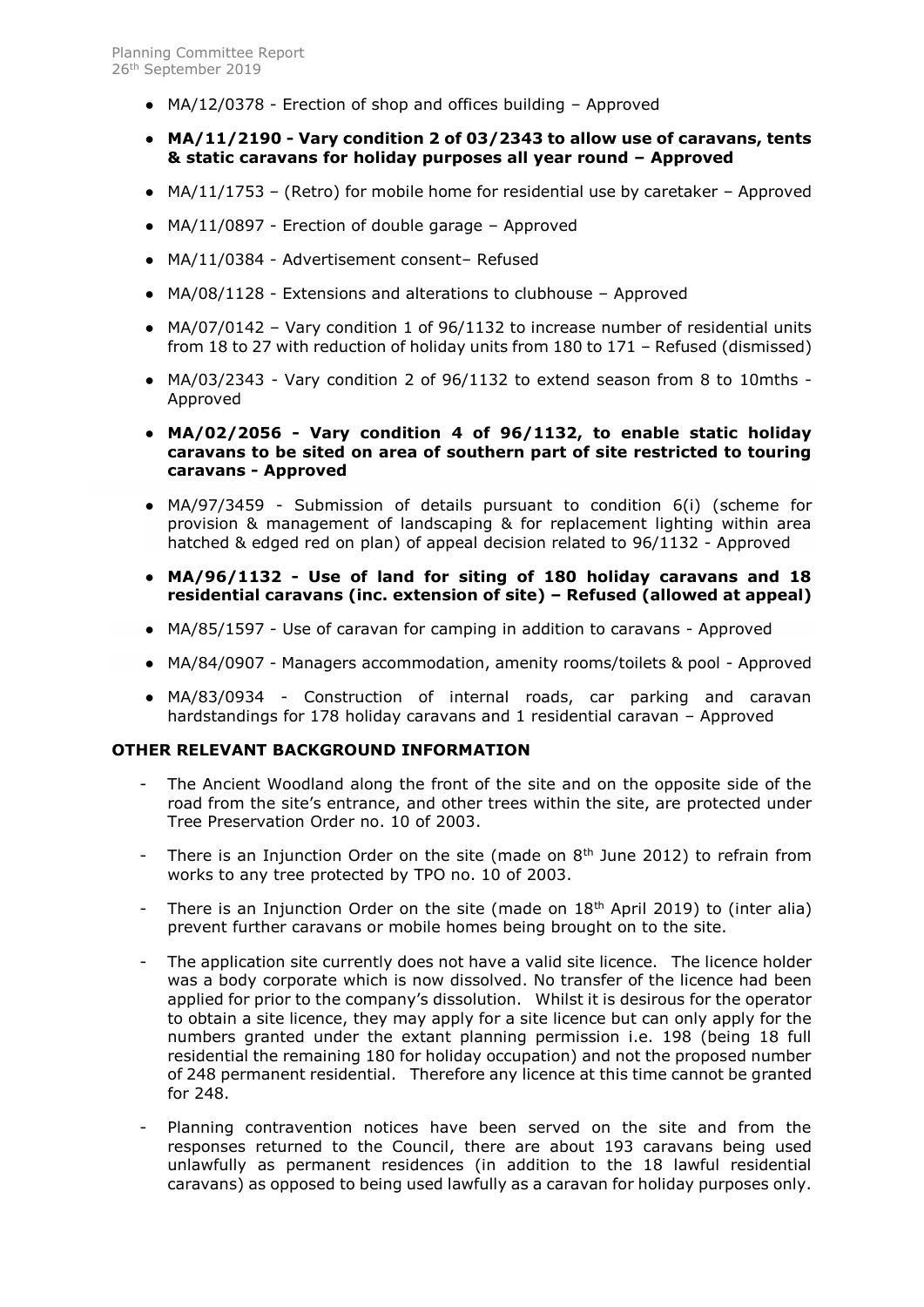- MA/12/0378 Erection of shop and offices building Approved
- **MA/11/2190 - Vary condition 2 of 03/2343 to allow use of caravans, tents & static caravans for holiday purposes all year round – Approved**
- $MA/11/1753$  (Retro) for mobile home for residential use by caretaker Approved
- $\bullet$  MA/11/0897 Erection of double garage Approved
- MA/11/0384 Advertisement consent– Refused
- MA/08/1128 Extensions and alterations to clubhouse Approved
- MA/07/0142 Vary condition 1 of 96/1132 to increase number of residential units from 18 to 27 with reduction of holiday units from 180 to 171 – Refused (dismissed)
- MA/03/2343 Vary condition 2 of 96/1132 to extend season from 8 to 10mths Approved
- **MA/02/2056 - Vary condition 4 of 96/1132, to enable static holiday caravans to be sited on area of southern part of site restricted to touring caravans - Approved**
- MA/97/3459 Submission of details pursuant to condition 6(i) (scheme for provision & management of landscaping & for replacement lighting within area hatched & edged red on plan) of appeal decision related to 96/1132 - Approved
- **MA/96/1132 - Use of land for siting of 180 holiday caravans and 18 residential caravans (inc. extension of site) – Refused (allowed at appeal)**
- MA/85/1597 Use of caravan for [camping in addition to caravans -](http://pa.midkent.gov.uk/online-applications/applicationDetails.do?previousCaseType=Property&keyVal=ZZZVWDKJTA842&previousCaseNumber=OLEQZG00DT00M&previousCaseUprn=010014308331&activeTab=summary&previousKeyVal=OLEQZG00DT00N) Approved
- MA/84/0907 [Managers accommodation, amenity rooms/toilets & pool -](http://pa.midkent.gov.uk/online-applications/applicationDetails.do?previousCaseType=Property&keyVal=ZZZVWAKJTA716&previousCaseNumber=OLEQZG00DT00M&previousCaseUprn=010014308331&activeTab=summary&previousKeyVal=OLEQZG00DT00N) Approved
- MA/83/0934 Construction of internal roads, car parking and caravan hardstandings for 178 holiday caravans and 1 residential caravan – Approved

#### **OTHER RELEVANT BACKGROUND INFORMATION**

- The Ancient Woodland along the front of the site and on the opposite side of the road from the site's entrance, and other trees within the site, are protected under Tree Preservation Order no. 10 of 2003.
- There is an Injunction Order on the site (made on  $8<sup>th</sup>$  June 2012) to refrain from works to any tree protected by TPO no. 10 of 2003.
- There is an Injunction Order on the site (made on  $18<sup>th</sup>$  April 2019) to (inter alia) prevent further caravans or mobile homes being brought on to the site.
- The application site currently does not have a valid site licence. The licence holder was a body corporate which is now dissolved. No transfer of the licence had been applied for prior to the company's dissolution. Whilst it is desirous for the operator to obtain a site licence, they may apply for a site licence but can only apply for the numbers granted under the extant planning permission i.e. 198 (being 18 full residential the remaining 180 for holiday occupation) and not the proposed number of 248 permanent residential. Therefore any licence at this time cannot be granted for 248.
- Planning contravention notices have been served on the site and from the responses returned to the Council, there are about 193 caravans being used unlawfully as permanent residences (in addition to the 18 lawful residential caravans) as opposed to being used lawfully as a caravan for holiday purposes only.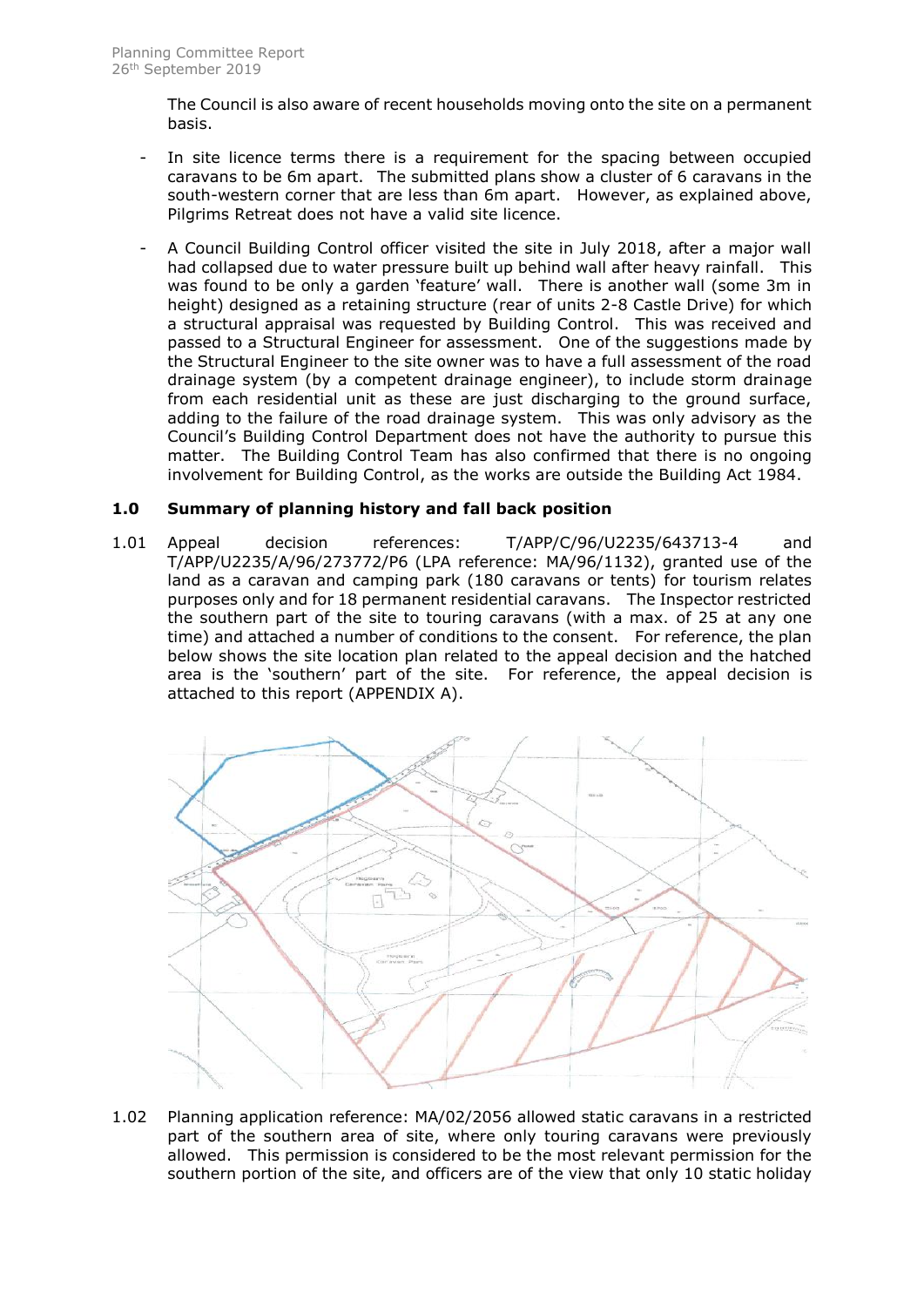The Council is also aware of recent households moving onto the site on a permanent basis.

- In site licence terms there is a requirement for the spacing between occupied caravans to be 6m apart. The submitted plans show a cluster of 6 caravans in the south-western corner that are less than 6m apart. However, as explained above, Pilgrims Retreat does not have a valid site licence.
- A Council Building Control officer visited the site in July 2018, after a major wall had collapsed due to water pressure built up behind wall after heavy rainfall. This was found to be only a garden 'feature' wall. There is another wall (some 3m in height) designed as a retaining structure (rear of units 2-8 Castle Drive) for which a structural appraisal was requested by Building Control. This was received and passed to a Structural Engineer for assessment. One of the suggestions made by the Structural Engineer to the site owner was to have a full assessment of the road drainage system (by a competent drainage engineer), to include storm drainage from each residential unit as these are just discharging to the ground surface, adding to the failure of the road drainage system. This was only advisory as the Council's Building Control Department does not have the authority to pursue this matter. The Building Control Team has also confirmed that there is no ongoing involvement for Building Control, as the works are outside the Building Act 1984.

# **1.0 Summary of planning history and fall back position**

1.01 Appeal decision references: T/APP/C/96/U2235/643713-4 and T/APP/U2235/A/96/273772/P6 (LPA reference: MA/96/1132), granted use of the land as a caravan and camping park (180 caravans or tents) for tourism relates purposes only and for 18 permanent residential caravans. The Inspector restricted the southern part of the site to touring caravans (with a max. of 25 at any one time) and attached a number of conditions to the consent. For reference, the plan below shows the site location plan related to the appeal decision and the hatched area is the 'southern' part of the site. For reference, the appeal decision is attached to this report (APPENDIX A).



1.02 Planning application reference: MA/02/2056 allowed static caravans in a restricted part of the southern area of site, where only touring caravans were previously allowed. This permission is considered to be the most relevant permission for the southern portion of the site, and officers are of the view that only 10 static holiday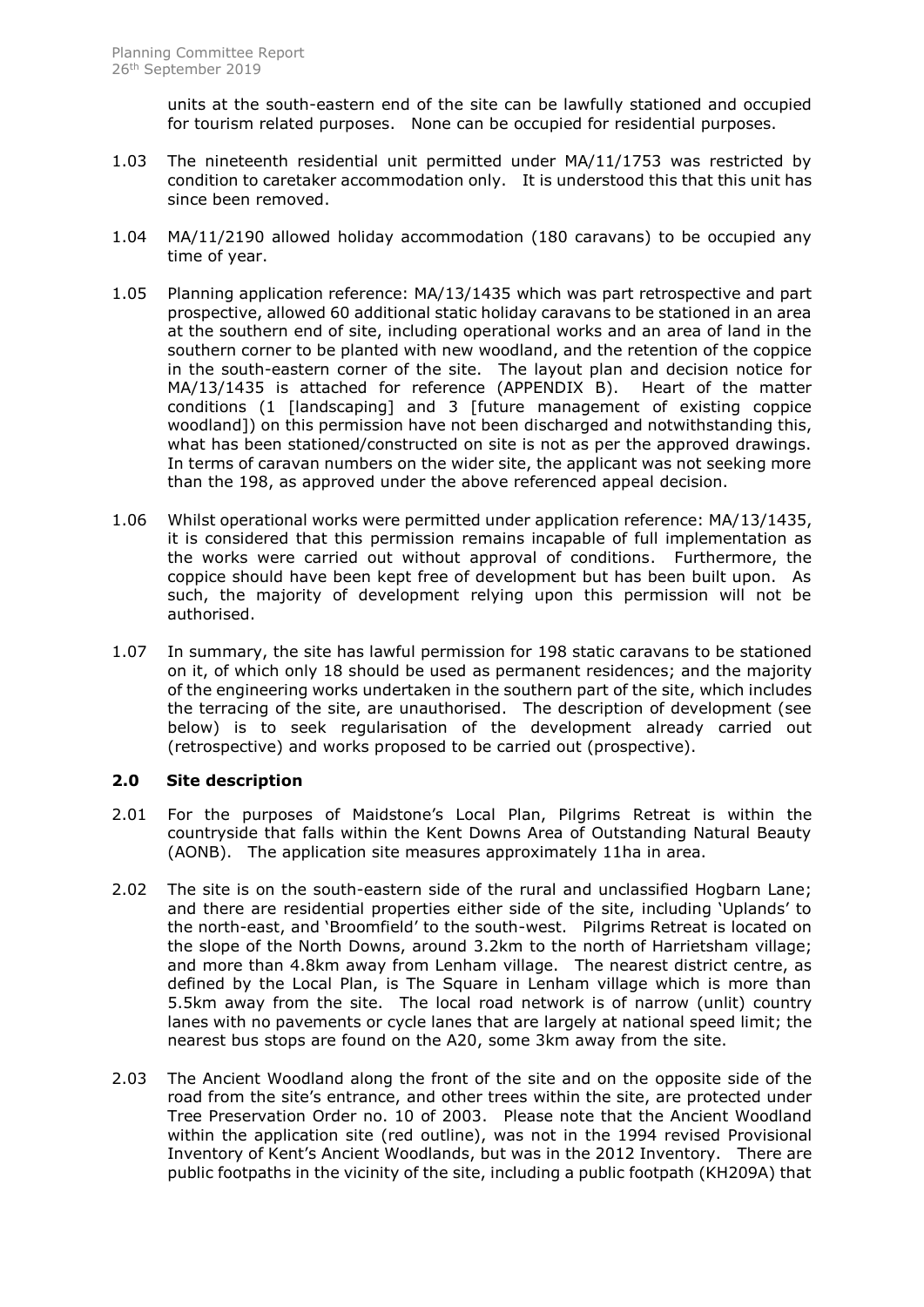units at the south-eastern end of the site can be lawfully stationed and occupied for tourism related purposes. None can be occupied for residential purposes.

- 1.03 The nineteenth residential unit permitted under MA/11/1753 was restricted by condition to caretaker accommodation only. It is understood this that this unit has since been removed.
- 1.04 MA/11/2190 allowed holiday accommodation (180 caravans) to be occupied any time of year.
- 1.05 Planning application reference: MA/13/1435 which was part retrospective and part prospective, allowed 60 additional static holiday caravans to be stationed in an area at the southern end of site, including operational works and an area of land in the southern corner to be planted with new woodland, and the retention of the coppice in the south-eastern corner of the site. The layout plan and decision notice for MA/13/1435 is attached for reference (APPENDIX B). Heart of the matter conditions (1 [landscaping] and 3 [future management of existing coppice woodland]) on this permission have not been discharged and notwithstanding this, what has been stationed/constructed on site is not as per the approved drawings. In terms of caravan numbers on the wider site, the applicant was not seeking more than the 198, as approved under the above referenced appeal decision.
- 1.06 Whilst operational works were permitted under application reference: MA/13/1435, it is considered that this permission remains incapable of full implementation as the works were carried out without approval of conditions. Furthermore, the coppice should have been kept free of development but has been built upon. As such, the majority of development relying upon this permission will not be authorised.
- 1.07 In summary, the site has lawful permission for 198 static caravans to be stationed on it, of which only 18 should be used as permanent residences; and the majority of the engineering works undertaken in the southern part of the site, which includes the terracing of the site, are unauthorised. The description of development (see below) is to seek regularisation of the development already carried out (retrospective) and works proposed to be carried out (prospective).

# **2.0 Site description**

- 2.01 For the purposes of Maidstone's Local Plan, Pilgrims Retreat is within the countryside that falls within the Kent Downs Area of Outstanding Natural Beauty (AONB). The application site measures approximately 11ha in area.
- 2.02 The site is on the south-eastern side of the rural and unclassified Hogbarn Lane; and there are residential properties either side of the site, including 'Uplands' to the north-east, and 'Broomfield' to the south-west. Pilgrims Retreat is located on the slope of the North Downs, around 3.2km to the north of Harrietsham village; and more than 4.8km away from Lenham village. The nearest district centre, as defined by the Local Plan, is The Square in Lenham village which is more than 5.5km away from the site. The local road network is of narrow (unlit) country lanes with no pavements or cycle lanes that are largely at national speed limit; the nearest bus stops are found on the A20, some 3km away from the site.
- 2.03 The Ancient Woodland along the front of the site and on the opposite side of the road from the site's entrance, and other trees within the site, are protected under Tree Preservation Order no. 10 of 2003. Please note that the Ancient Woodland within the application site (red outline), was not in the 1994 revised Provisional Inventory of Kent's Ancient Woodlands, but was in the 2012 Inventory. There are public footpaths in the vicinity of the site, including a public footpath (KH209A) that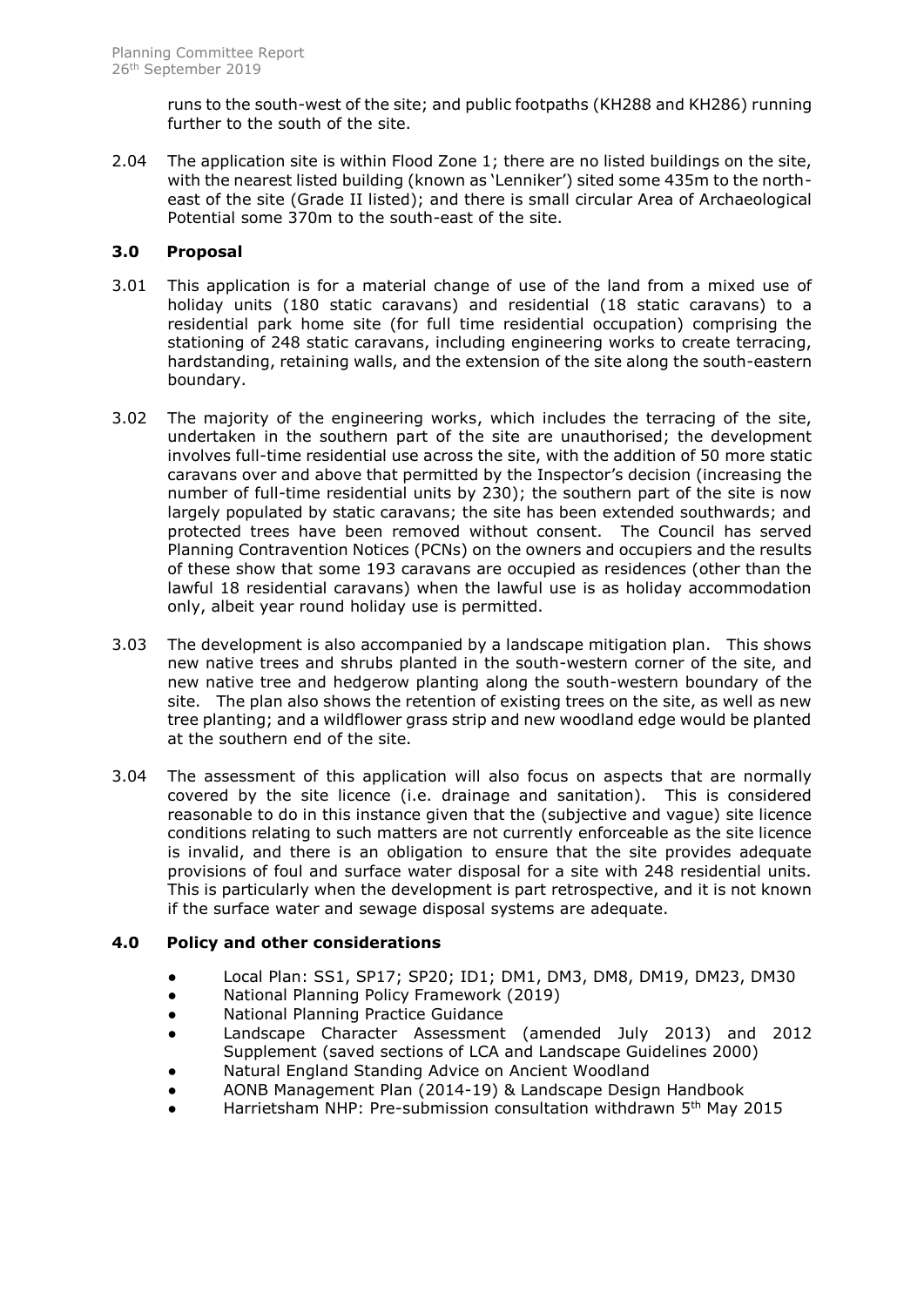runs to the south-west of the site; and public footpaths (KH288 and KH286) running further to the south of the site.

2.04 The application site is within Flood Zone 1; there are no listed buildings on the site, with the nearest listed building (known as 'Lenniker') sited some 435m to the northeast of the site (Grade II listed); and there is small circular Area of Archaeological Potential some 370m to the south-east of the site.

# **3.0 Proposal**

- 3.01 This application is for a material change of use of the land from a mixed use of holiday units (180 static caravans) and residential (18 static caravans) to a residential park home site (for full time residential occupation) comprising the stationing of 248 static caravans, including engineering works to create terracing, hardstanding, retaining walls, and the extension of the site along the south-eastern boundary.
- 3.02 The majority of the engineering works, which includes the terracing of the site, undertaken in the southern part of the site are unauthorised; the development involves full-time residential use across the site, with the addition of 50 more static caravans over and above that permitted by the Inspector's decision (increasing the number of full-time residential units by 230); the southern part of the site is now largely populated by static caravans; the site has been extended southwards; and protected trees have been removed without consent. The Council has served Planning Contravention Notices (PCNs) on the owners and occupiers and the results of these show that some 193 caravans are occupied as residences (other than the lawful 18 residential caravans) when the lawful use is as holiday accommodation only, albeit year round holiday use is permitted.
- 3.03 The development is also accompanied by a landscape mitigation plan. This shows new native trees and shrubs planted in the south-western corner of the site, and new native tree and hedgerow planting along the south-western boundary of the site. The plan also shows the retention of existing trees on the site, as well as new tree planting; and a wildflower grass strip and new woodland edge would be planted at the southern end of the site.
- 3.04 The assessment of this application will also focus on aspects that are normally covered by the site licence (i.e. drainage and sanitation). This is considered reasonable to do in this instance given that the (subjective and vague) site licence conditions relating to such matters are not currently enforceable as the site licence is invalid, and there is an obligation to ensure that the site provides adequate provisions of foul and surface water disposal for a site with 248 residential units. This is particularly when the development is part retrospective, and it is not known if the surface water and sewage disposal systems are adequate.

# **4.0 Policy and other considerations**

- Local Plan: SS1, SP17; SP20; ID1; DM1, DM3, DM8, DM19, DM23, DM30
- National Planning Policy Framework (2019)
- National Planning Practice Guidance
- Landscape Character Assessment (amended July 2013) and 2012 Supplement (saved sections of LCA and Landscape Guidelines 2000)
- Natural England Standing Advice on Ancient Woodland
- AONB Management Plan (2014-19) & Landscape Design Handbook
- Harrietsham NHP: Pre-submission consultation withdrawn 5<sup>th</sup> May 2015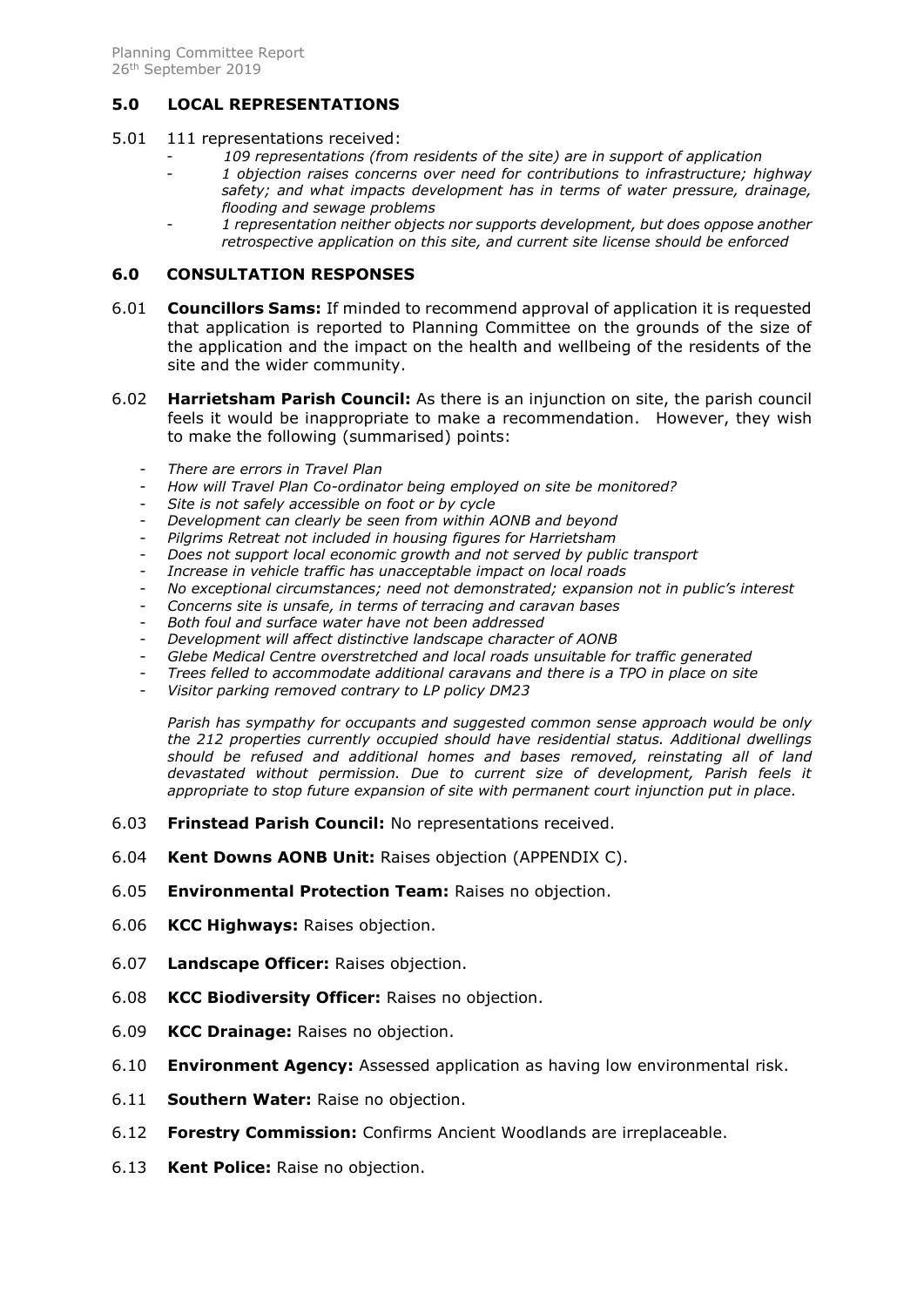# **5.0 LOCAL REPRESENTATIONS**

#### 5.01 111 representations received:

- *109 representations (from residents of the site) are in support of application*
- 1 objection raises concerns over need for contributions to infrastructure; highway *safety; and what impacts development has in terms of water pressure, drainage, flooding and sewage problems*
- *1 representation neither objects nor supports development, but does oppose another retrospective application on this site, and current site license should be enforced*

#### **6.0 CONSULTATION RESPONSES**

- 6.01 **Councillors Sams:** If minded to recommend approval of application it is requested that application is reported to Planning Committee on the grounds of the size of the application and the impact on the health and wellbeing of the residents of the site and the wider community.
- 6.02 **Harrietsham Parish Council:** As there is an injunction on site, the parish council feels it would be inappropriate to make a recommendation. However, they wish to make the following (summarised) points:
	- *There are errors in Travel Plan*
	- *How will Travel Plan Co-ordinator being employed on site be monitored?*
	- Site is not safely accessible on foot or by cycle
	- *Development can clearly be seen from within AONB and beyond*
	- *Pilgrims Retreat not included in housing figures for Harrietsham*
	- *Does not support local economic growth and not served by public transport*
	- *Increase in vehicle traffic has unacceptable impact on local roads*
	- *No exceptional circumstances; need not demonstrated; expansion not in public's interest*
	- *Concerns site is unsafe, in terms of terracing and caravan bases*
	- *Both foul and surface water have not been addressed*
	- *Development will affect distinctive landscape character of AONB*
	- *Glebe Medical Centre overstretched and local roads unsuitable for traffic generated*
	- *Trees felled to accommodate additional caravans and there is a TPO in place on site*
	- *Visitor parking removed contrary to LP policy DM23*

*Parish has sympathy for occupants and suggested common sense approach would be only the 212 properties currently occupied should have residential status. Additional dwellings should be refused and additional homes and bases removed, reinstating all of land devastated without permission. Due to current size of development, Parish feels it appropriate to stop future expansion of site with permanent court injunction put in place.*

- 6.03 **Frinstead Parish Council:** No representations received.
- 6.04 **Kent Downs AONB Unit:** Raises objection (APPENDIX C).
- 6.05 **Environmental Protection Team:** Raises no objection.
- 6.06 **KCC Highways:** Raises objection.
- 6.07 **Landscape Officer:** Raises objection.
- 6.08 **KCC Biodiversity Officer:** Raises no objection.
- 6.09 **KCC Drainage:** Raises no objection.
- 6.10 **Environment Agency:** Assessed application as having low environmental risk.
- 6.11 **Southern Water:** Raise no objection.
- 6.12 **Forestry Commission:** Confirms Ancient Woodlands are irreplaceable.
- 6.13 **Kent Police:** Raise no objection.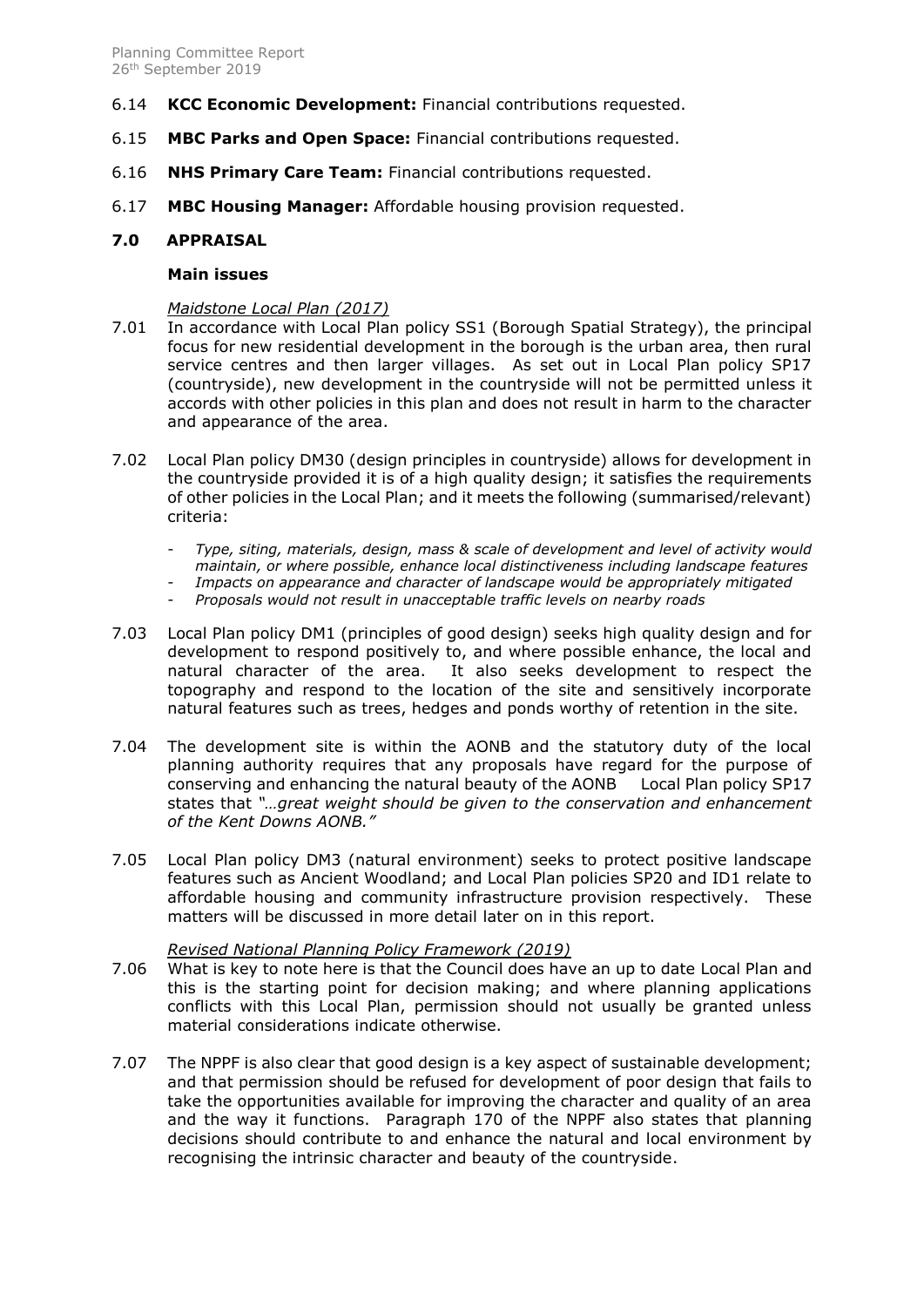- 6.14 **KCC Economic Development:** Financial contributions requested.
- 6.15 **MBC Parks and Open Space:** Financial contributions requested.
- 6.16 **NHS Primary Care Team:** Financial contributions requested.
- 6.17 **MBC Housing Manager:** Affordable housing provision requested.

#### **7.0 APPRAISAL**

#### **Main issues**

#### *Maidstone Local Plan (2017)*

- 7.01 In accordance with Local Plan policy SS1 (Borough Spatial Strategy), the principal focus for new residential development in the borough is the urban area, then rural service centres and then larger villages. As set out in Local Plan policy SP17 (countryside), new development in the countryside will not be permitted unless it accords with other policies in this plan and does not result in harm to the character and appearance of the area.
- 7.02 Local Plan policy DM30 (design principles in countryside) allows for development in the countryside provided it is of a high quality design; it satisfies the requirements of other policies in the Local Plan; and it meets the following (summarised/relevant) criteria:
	- *Type, siting, materials, design, mass & scale of development and level of activity would maintain, or where possible, enhance local distinctiveness including landscape features*
	- *Impacts on appearance and character of landscape would be appropriately mitigated*
	- *Proposals would not result in unacceptable traffic levels on nearby roads*
- 7.03 Local Plan policy DM1 (principles of good design) seeks high quality design and for development to respond positively to, and where possible enhance, the local and natural character of the area. It also seeks development to respect the topography and respond to the location of the site and sensitively incorporate natural features such as trees, hedges and ponds worthy of retention in the site.
- 7.04 The development site is within the AONB and the statutory duty of the local planning authority requires that any proposals have regard for the purpose of conserving and enhancing the natural beauty of the AONB Local Plan policy SP17 states that *"…great weight should be given to the conservation and enhancement of the Kent Downs AONB."*
- 7.05 Local Plan policy DM3 (natural environment) seeks to protect positive landscape features such as Ancient Woodland; and Local Plan policies SP20 and ID1 relate to affordable housing and community infrastructure provision respectively. These matters will be discussed in more detail later on in this report.

#### *Revised National Planning Policy Framework (2019)*

- 7.06 What is key to note here is that the Council does have an up to date Local Plan and this is the starting point for decision making; and where planning applications conflicts with this Local Plan, permission should not usually be granted unless material considerations indicate otherwise.
- 7.07 The NPPF is also clear that good design is a key aspect of sustainable development; and that permission should be refused for development of poor design that fails to take the opportunities available for improving the character and quality of an area and the way it functions. Paragraph 170 of the NPPF also states that planning decisions should contribute to and enhance the natural and local environment by recognising the intrinsic character and beauty of the countryside.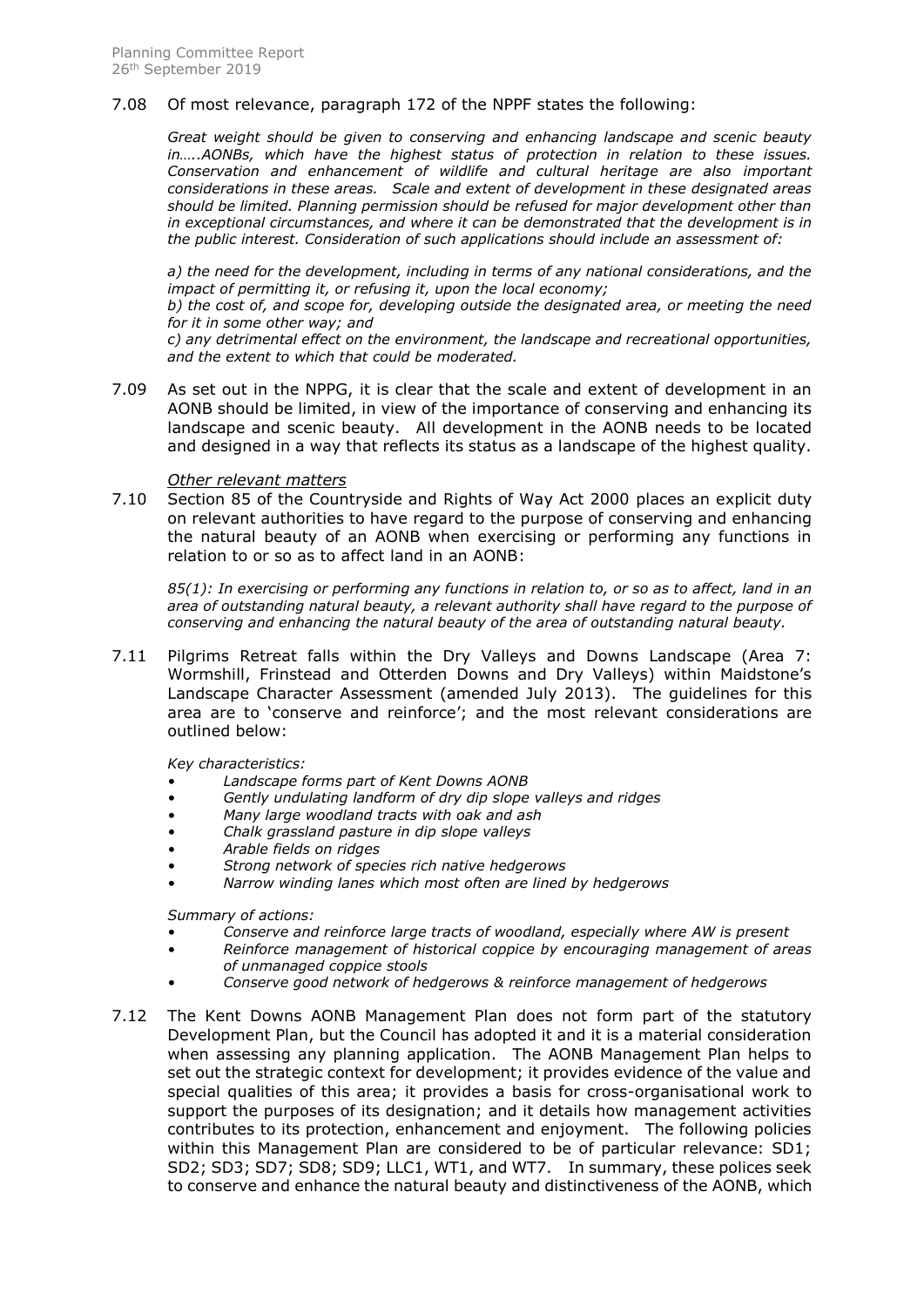#### 7.08 Of most relevance, paragraph 172 of the NPPF states the following:

*Great weight should be given to conserving and enhancing landscape and scenic beauty in…..AONBs, which have the highest status of protection in relation to these issues. Conservation and enhancement of wildlife and cultural heritage are also important considerations in these areas. Scale and extent of development in these designated areas should be limited. Planning permission should be refused for major development other than in exceptional circumstances, and where it can be demonstrated that the development is in the public interest. Consideration of such applications should include an assessment of:*

*a) the need for the development, including in terms of any national considerations, and the impact of permitting it, or refusing it, upon the local economy;*

*b) the cost of, and scope for, developing outside the designated area, or meeting the need for it in some other way; and*

*c) any detrimental effect on the environment, the landscape and recreational opportunities, and the extent to which that could be moderated.*

7.09 As set out in the NPPG, it is clear that the scale and extent of development in an AONB should be limited, in view of the importance of conserving and enhancing its landscape and scenic beauty. All development in the AONB needs to be located and designed in a way that reflects its status as a landscape of the highest quality.

#### *Other relevant matters*

7.10 Section 85 of the Countryside and Rights of Way Act 2000 places an explicit duty on relevant authorities to have regard to the purpose of conserving and enhancing the natural beauty of an AONB when exercising or performing any functions in relation to or so as to affect land in an AONB:

*85(1): In exercising or performing any functions in relation to, or so as to affect, land in an area of outstanding natural beauty, a relevant authority shall have regard to the purpose of conserving and enhancing the natural beauty of the area of outstanding natural beauty.*

7.11 Pilgrims Retreat falls within the Dry Valleys and Downs Landscape (Area 7: Wormshill, Frinstead and Otterden Downs and Dry Valleys) within Maidstone's Landscape Character Assessment (amended July 2013). The guidelines for this area are to 'conserve and reinforce'; and the most relevant considerations are outlined below:

*Key characteristics:*

- *Landscape forms part of Kent Downs AONB*
- *Gently undulating landform of dry dip slope valleys and ridges*
- *Many large woodland tracts with oak and ash*
- *Chalk grassland pasture in dip slope valleys*
- *Arable fields on ridges*
- *Strong network of species rich native hedgerows*
- *Narrow winding lanes which most often are lined by hedgerows*

*Summary of actions:*

- *Conserve and reinforce large tracts of woodland, especially where AW is present*
- *Reinforce management of historical coppice by encouraging management of areas of unmanaged coppice stools*
- *Conserve good network of hedgerows & reinforce management of hedgerows*
- 7.12 The Kent Downs AONB Management Plan does not form part of the statutory Development Plan, but the Council has adopted it and it is a material consideration when assessing any planning application. The AONB Management Plan helps to set out the strategic context for development; it provides evidence of the value and special qualities of this area; it provides a basis for cross-organisational work to support the purposes of its designation; and it details how management activities contributes to its protection, enhancement and enjoyment. The following policies within this Management Plan are considered to be of particular relevance: SD1; SD2; SD3; SD7; SD8; SD9; LLC1, WT1, and WT7. In summary, these polices seek to conserve and enhance the natural beauty and distinctiveness of the AONB, which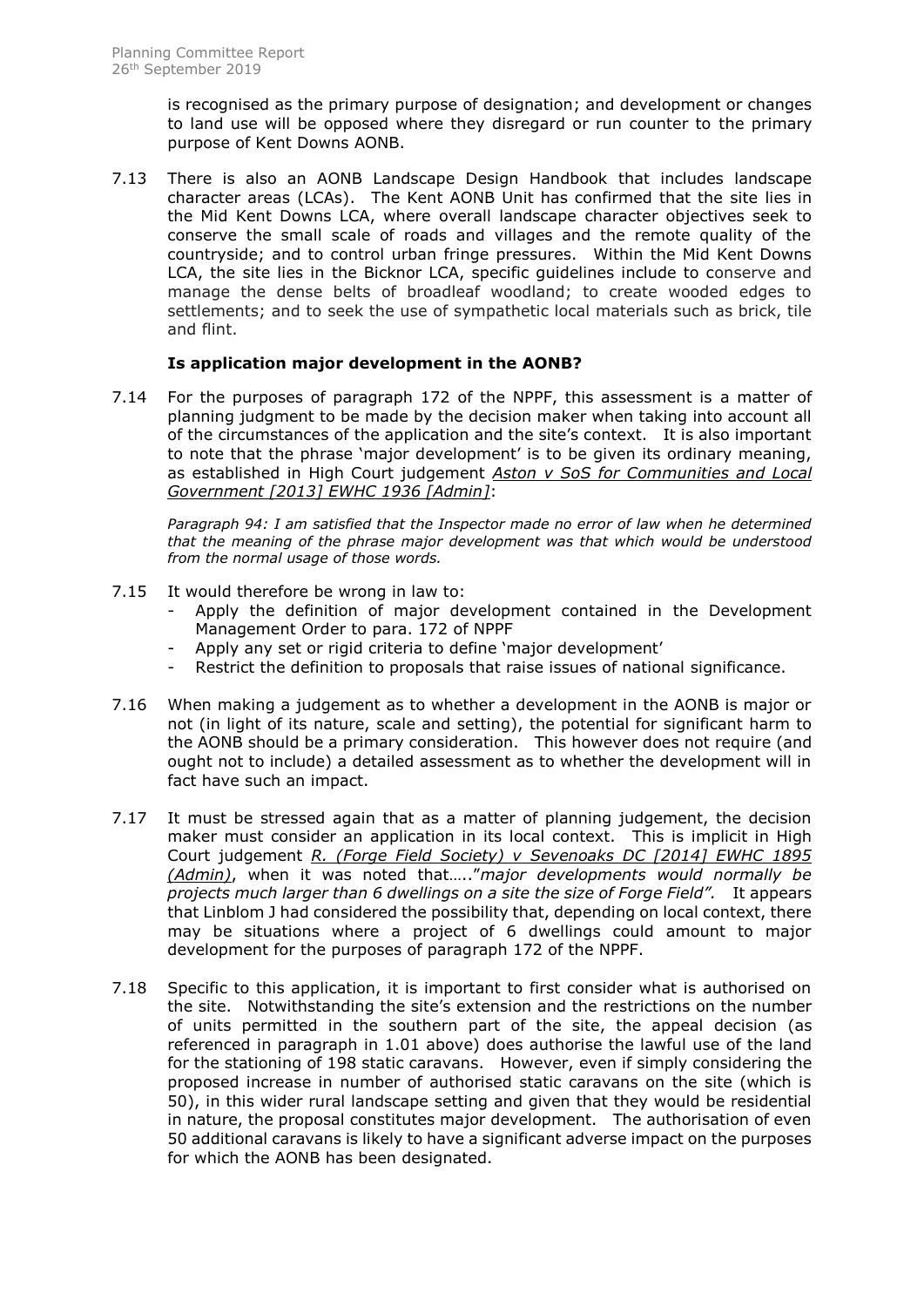is recognised as the primary purpose of designation; and development or changes to land use will be opposed where they disregard or run counter to the primary purpose of Kent Downs AONB.

7.13 There is also an AONB Landscape Design Handbook that includes landscape character areas (LCAs). The Kent AONB Unit has confirmed that the site lies in the Mid Kent Downs LCA, where overall landscape character objectives seek to conserve the small scale of roads and villages and the remote quality of the countryside; and to control urban fringe pressures. Within the Mid Kent Downs LCA, the site lies in the Bicknor LCA, specific guidelines include to conserve and manage the dense belts of broadleaf woodland; to create wooded edges to settlements; and to seek the use of sympathetic local materials such as brick, tile and flint.

## **Is application major development in the AONB?**

7.14 For the purposes of paragraph 172 of the NPPF, this assessment is a matter of planning judgment to be made by the decision maker when taking into account all of the circumstances of the application and the site's context. It is also important to note that the phrase 'major development' is to be given its ordinary meaning, as established in High Court judgement *Aston v SoS for Communities and Local Government [2013] EWHC 1936 [Admin]*:

*Paragraph 94: I am satisfied that the Inspector made no error of law when he determined that the meaning of the phrase major development was that which would be understood from the normal usage of those words.* 

- 7.15 It would therefore be wrong in law to:
	- Apply the definition of major development contained in the Development Management Order to para. 172 of NPPF
	- Apply any set or rigid criteria to define 'major development'
	- Restrict the definition to proposals that raise issues of national significance.
- 7.16 When making a judgement as to whether a development in the AONB is major or not (in light of its nature, scale and setting), the potential for significant harm to the AONB should be a primary consideration. This however does not require (and ought not to include) a detailed assessment as to whether the development will in fact have such an impact.
- 7.17 It must be stressed again that as a matter of planning judgement, the decision maker must consider an application in its local context. This is implicit in High Court judgement *R. (Forge Field Society) v Sevenoaks DC [2014] EWHC 1895 (Admin)*, when it was noted that….."*major developments would normally be projects much larger than 6 dwellings on a site the size of Forge Field".* It appears that Linblom J had considered the possibility that, depending on local context, there may be situations where a project of 6 dwellings could amount to major development for the purposes of paragraph 172 of the NPPF.
- 7.18 Specific to this application, it is important to first consider what is authorised on the site. Notwithstanding the site's extension and the restrictions on the number of units permitted in the southern part of the site, the appeal decision (as referenced in paragraph in 1.01 above) does authorise the lawful use of the land for the stationing of 198 static caravans. However, even if simply considering the proposed increase in number of authorised static caravans on the site (which is 50), in this wider rural landscape setting and given that they would be residential in nature, the proposal constitutes major development. The authorisation of even 50 additional caravans is likely to have a significant adverse impact on the purposes for which the AONB has been designated.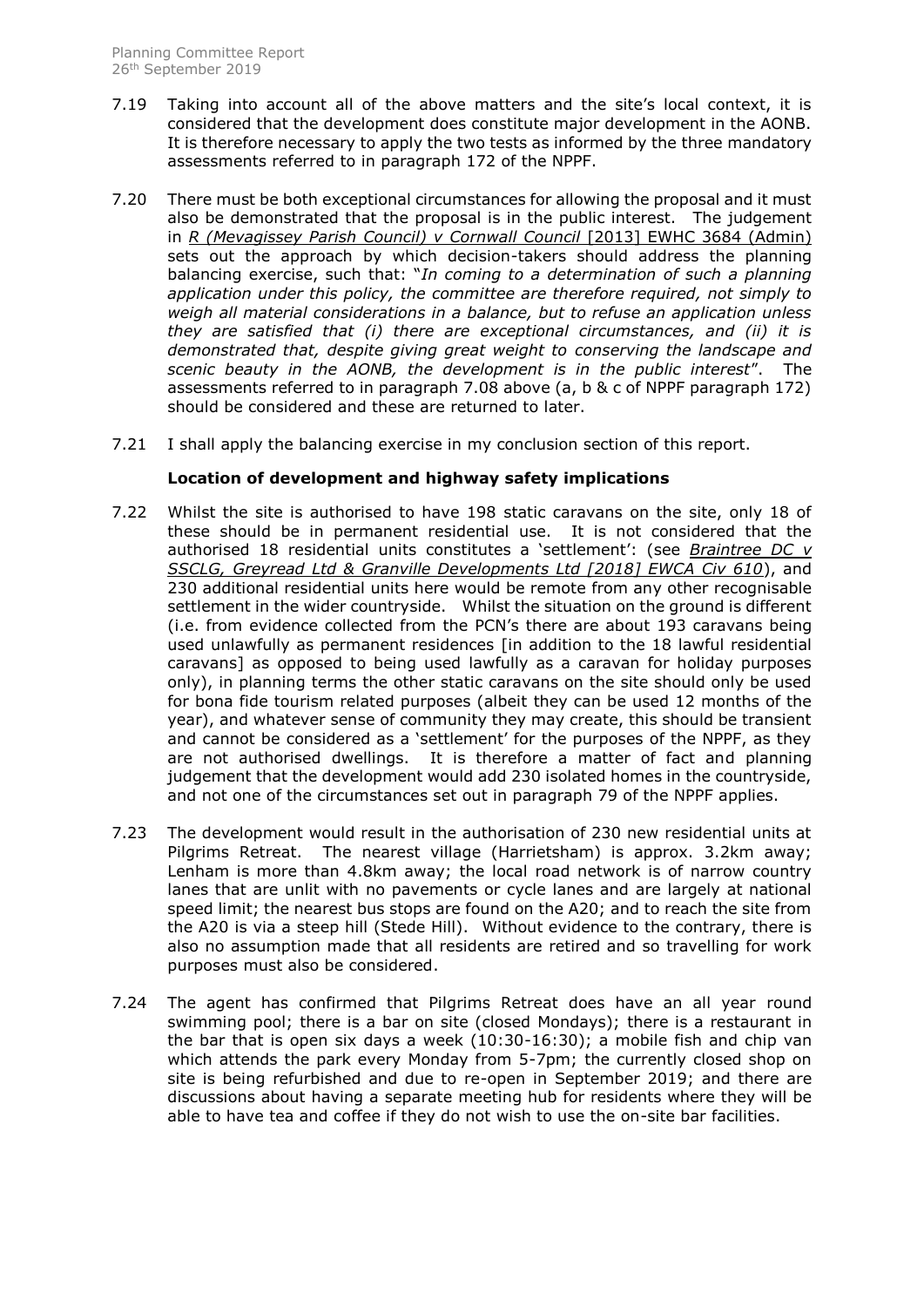- 7.19 Taking into account all of the above matters and the site's local context, it is considered that the development does constitute major development in the AONB. It is therefore necessary to apply the two tests as informed by the three mandatory assessments referred to in paragraph 172 of the NPPF.
- 7.20 There must be both exceptional circumstances for allowing the proposal and it must also be demonstrated that the proposal is in the public interest. The judgement in *R (Mevagissey Parish Council) v Cornwall Council* [2013] EWHC 3684 (Admin) sets out the approach by which decision-takers should address the planning balancing exercise, such that: "*In coming to a determination of such a planning application under this policy, the committee are therefore required, not simply to weigh all material considerations in a balance, but to refuse an application unless they are satisfied that (i) there are exceptional circumstances, and (ii) it is demonstrated that, despite giving great weight to conserving the landscape and scenic beauty in the AONB, the development is in the public interest*". The assessments referred to in paragraph 7.08 above (a, b & c of NPPF paragraph 172) should be considered and these are returned to later.
- 7.21 I shall apply the balancing exercise in my conclusion section of this report.

## **Location of development and highway safety implications**

- 7.22 Whilst the site is authorised to have 198 static caravans on the site, only 18 of these should be in permanent residential use. It is not considered that the authorised 18 residential units constitutes a 'settlement': (see *Braintree DC v SSCLG, Greyread Ltd & Granville Developments Ltd [2018] EWCA Civ 610*), and 230 additional residential units here would be remote from any other recognisable settlement in the wider countryside. Whilst the situation on the ground is different (i.e. from evidence collected from the PCN's there are about 193 caravans being used unlawfully as permanent residences [in addition to the 18 lawful residential caravans] as opposed to being used lawfully as a caravan for holiday purposes only), in planning terms the other static caravans on the site should only be used for bona fide tourism related purposes (albeit they can be used 12 months of the year), and whatever sense of community they may create, this should be transient and cannot be considered as a 'settlement' for the purposes of the NPPF, as they are not authorised dwellings. It is therefore a matter of fact and planning judgement that the development would add 230 isolated homes in the countryside, and not one of the circumstances set out in paragraph 79 of the NPPF applies.
- 7.23 The development would result in the authorisation of 230 new residential units at Pilgrims Retreat. The nearest village (Harrietsham) is approx. 3.2km away; Lenham is more than 4.8km away; the local road network is of narrow country lanes that are unlit with no pavements or cycle lanes and are largely at national speed limit; the nearest bus stops are found on the A20; and to reach the site from the A20 is via a steep hill (Stede Hill). Without evidence to the contrary, there is also no assumption made that all residents are retired and so travelling for work purposes must also be considered.
- 7.24 The agent has confirmed that Pilgrims Retreat does have an all year round swimming pool; there is a bar on site (closed Mondays); there is a restaurant in the bar that is open six days a week (10:30-16:30); a mobile fish and chip van which attends the park every Monday from 5-7pm; the currently closed shop on site is being refurbished and due to re-open in September 2019; and there are discussions about having a separate meeting hub for residents where they will be able to have tea and coffee if they do not wish to use the on-site bar facilities.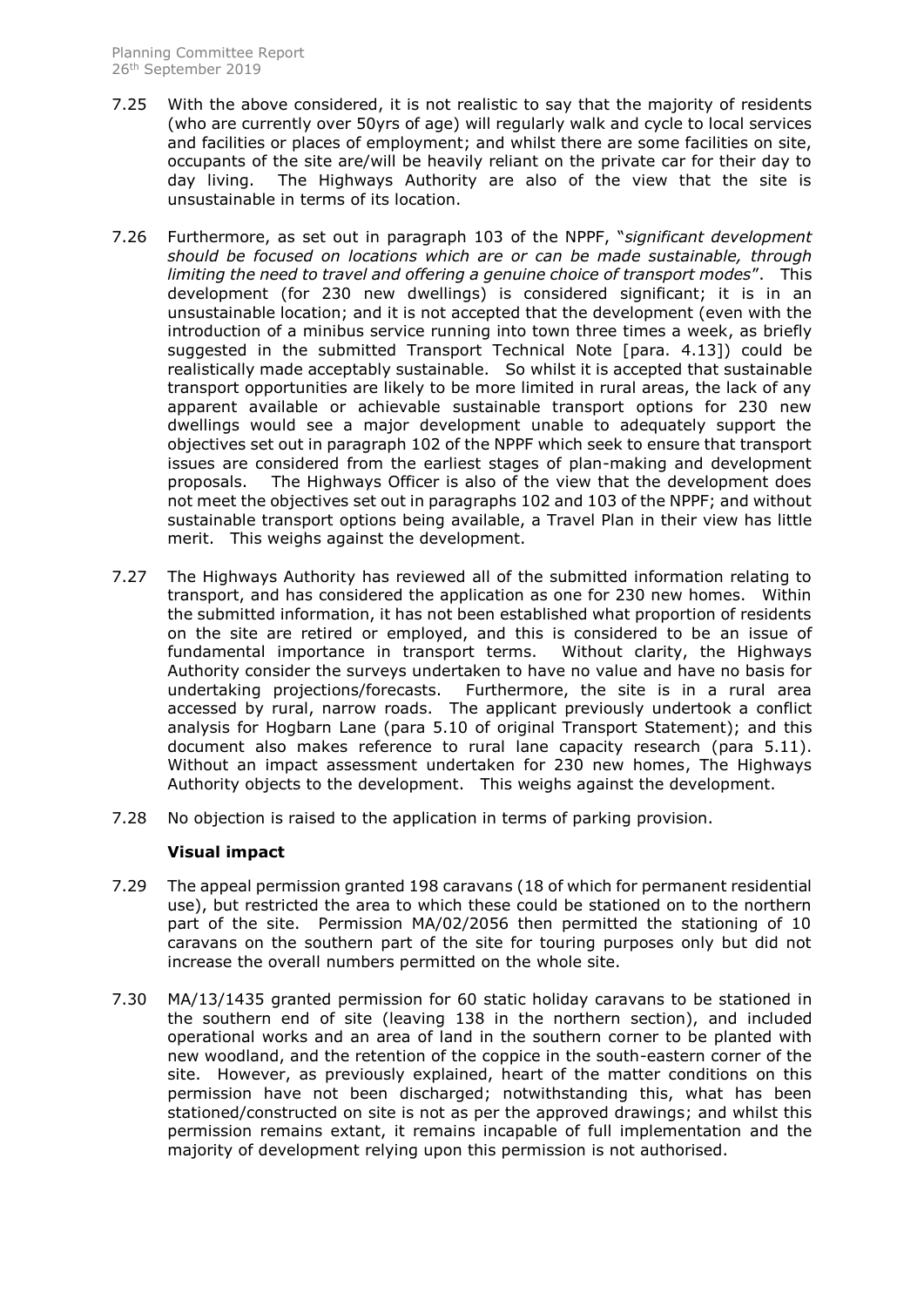- 7.25 With the above considered, it is not realistic to say that the majority of residents (who are currently over 50yrs of age) will regularly walk and cycle to local services and facilities or places of employment; and whilst there are some facilities on site, occupants of the site are/will be heavily reliant on the private car for their day to day living. The Highways Authority are also of the view that the site is unsustainable in terms of its location.
- 7.26 Furthermore, as set out in paragraph 103 of the NPPF, "*significant development should be focused on locations which are or can be made sustainable, through limiting the need to travel and offering a genuine choice of transport modes*". This development (for 230 new dwellings) is considered significant; it is in an unsustainable location; and it is not accepted that the development (even with the introduction of a minibus service running into town three times a week, as briefly suggested in the submitted Transport Technical Note [para. 4.13]) could be realistically made acceptably sustainable. So whilst it is accepted that sustainable transport opportunities are likely to be more limited in rural areas, the lack of any apparent available or achievable sustainable transport options for 230 new dwellings would see a major development unable to adequately support the objectives set out in paragraph 102 of the NPPF which seek to ensure that transport issues are considered from the earliest stages of plan-making and development proposals. The Highways Officer is also of the view that the development does not meet the objectives set out in paragraphs 102 and 103 of the NPPF; and without sustainable transport options being available, a Travel Plan in their view has little merit. This weighs against the development.
- 7.27 The Highways Authority has reviewed all of the submitted information relating to transport, and has considered the application as one for 230 new homes. Within the submitted information, it has not been established what proportion of residents on the site are retired or employed, and this is considered to be an issue of fundamental importance in transport terms. Without clarity, the Highways Authority consider the surveys undertaken to have no value and have no basis for undertaking projections/forecasts. Furthermore, the site is in a rural area accessed by rural, narrow roads. The applicant previously undertook a conflict analysis for Hogbarn Lane (para 5.10 of original Transport Statement); and this document also makes reference to rural lane capacity research (para 5.11). Without an impact assessment undertaken for 230 new homes, The Highways Authority objects to the development. This weighs against the development.
- 7.28 No objection is raised to the application in terms of parking provision.

# **Visual impact**

- 7.29 The appeal permission granted 198 caravans (18 of which for permanent residential use), but restricted the area to which these could be stationed on to the northern part of the site. Permission MA/02/2056 then permitted the stationing of 10 caravans on the southern part of the site for touring purposes only but did not increase the overall numbers permitted on the whole site.
- 7.30 MA/13/1435 granted permission for 60 static holiday caravans to be stationed in the southern end of site (leaving 138 in the northern section), and included operational works and an area of land in the southern corner to be planted with new woodland, and the retention of the coppice in the south-eastern corner of the site. However, as previously explained, heart of the matter conditions on this permission have not been discharged; notwithstanding this, what has been stationed/constructed on site is not as per the approved drawings; and whilst this permission remains extant, it remains incapable of full implementation and the majority of development relying upon this permission is not authorised.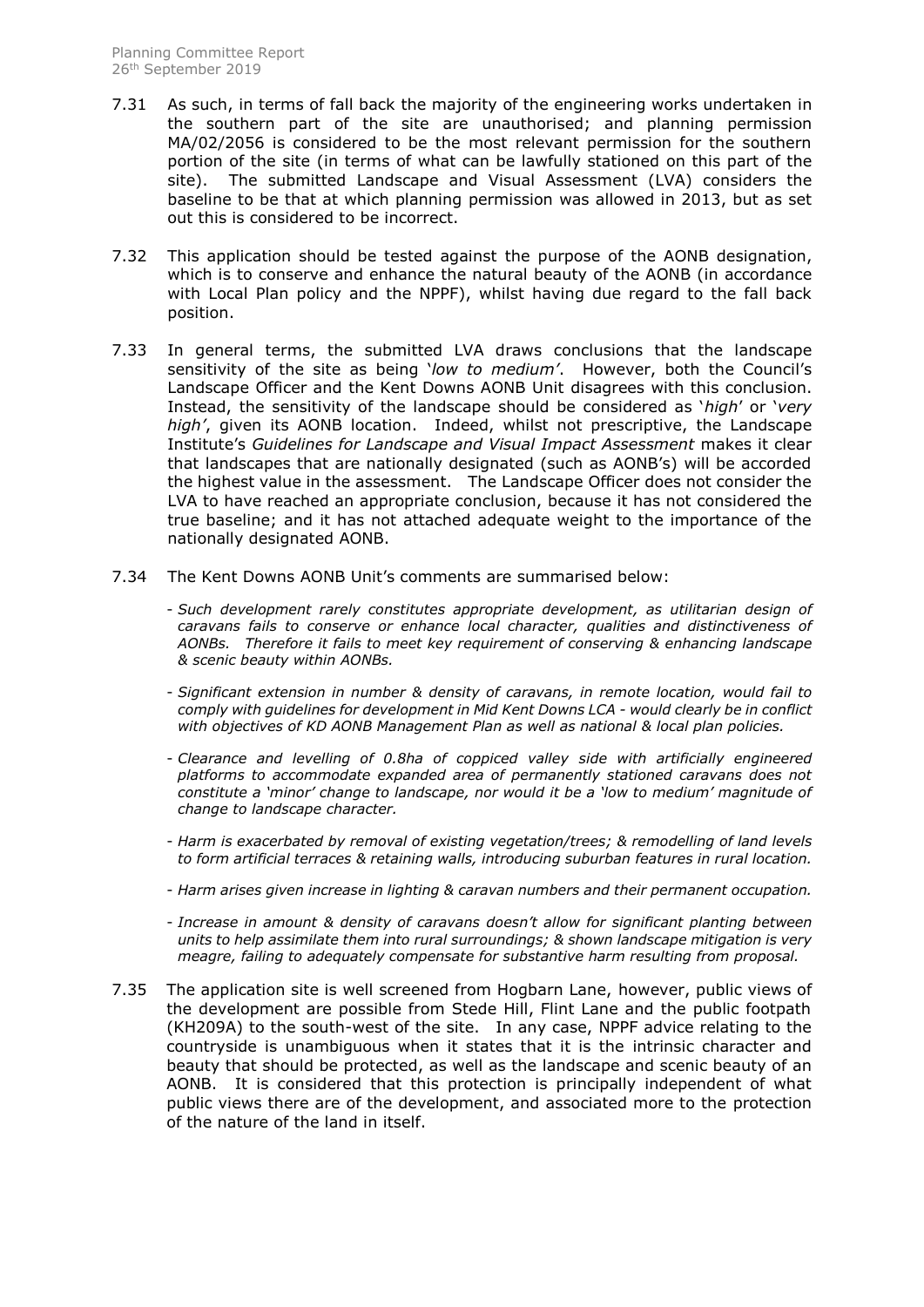- 7.31 As such, in terms of fall back the majority of the engineering works undertaken in the southern part of the site are unauthorised; and planning permission MA/02/2056 is considered to be the most relevant permission for the southern portion of the site (in terms of what can be lawfully stationed on this part of the site). The submitted Landscape and Visual Assessment (LVA) considers the baseline to be that at which planning permission was allowed in 2013, but as set out this is considered to be incorrect.
- 7.32 This application should be tested against the purpose of the AONB designation, which is to conserve and enhance the natural beauty of the AONB (in accordance with Local Plan policy and the NPPF), whilst having due regard to the fall back position.
- 7.33 In general terms, the submitted LVA draws conclusions that the landscape sensitivity of the site as being '*low to medium'*. However, both the Council's Landscape Officer and the Kent Downs AONB Unit disagrees with this conclusion. Instead, the sensitivity of the landscape should be considered as '*high*' or '*very high'*, given its AONB location. Indeed, whilst not prescriptive, the Landscape Institute's *Guidelines for Landscape and Visual Impact Assessment* makes it clear that landscapes that are nationally designated (such as AONB's) will be accorded the highest value in the assessment. The Landscape Officer does not consider the LVA to have reached an appropriate conclusion, because it has not considered the true baseline; and it has not attached adequate weight to the importance of the nationally designated AONB.
- 7.34 The Kent Downs AONB Unit's comments are summarised below:
	- *Such development rarely constitutes appropriate development, as utilitarian design of caravans fails to conserve or enhance local character, qualities and distinctiveness of AONBs. Therefore it fails to meet key requirement of conserving & enhancing landscape & scenic beauty within AONBs.*
	- *Significant extension in number & density of caravans, in remote location, would fail to comply with guidelines for development in Mid Kent Downs LCA - would clearly be in conflict with objectives of KD AONB Management Plan as well as national & local plan policies.*
	- *Clearance and levelling of 0.8ha of coppiced valley side with artificially engineered platforms to accommodate expanded area of permanently stationed caravans does not constitute a 'minor' change to landscape, nor would it be a 'low to medium' magnitude of change to landscape character.*
	- *Harm is exacerbated by removal of existing vegetation/trees; & remodelling of land levels to form artificial terraces & retaining walls, introducing suburban features in rural location.*
	- *Harm arises given increase in lighting & caravan numbers and their permanent occupation.*
	- *Increase in amount & density of caravans doesn't allow for significant planting between units to help assimilate them into rural surroundings; & shown landscape mitigation is very meagre, failing to adequately compensate for substantive harm resulting from proposal.*
- 7.35 The application site is well screened from Hogbarn Lane, however, public views of the development are possible from Stede Hill, Flint Lane and the public footpath (KH209A) to the south-west of the site. In any case, NPPF advice relating to the countryside is unambiguous when it states that it is the intrinsic character and beauty that should be protected, as well as the landscape and scenic beauty of an AONB. It is considered that this protection is principally independent of what public views there are of the development, and associated more to the protection of the nature of the land in itself.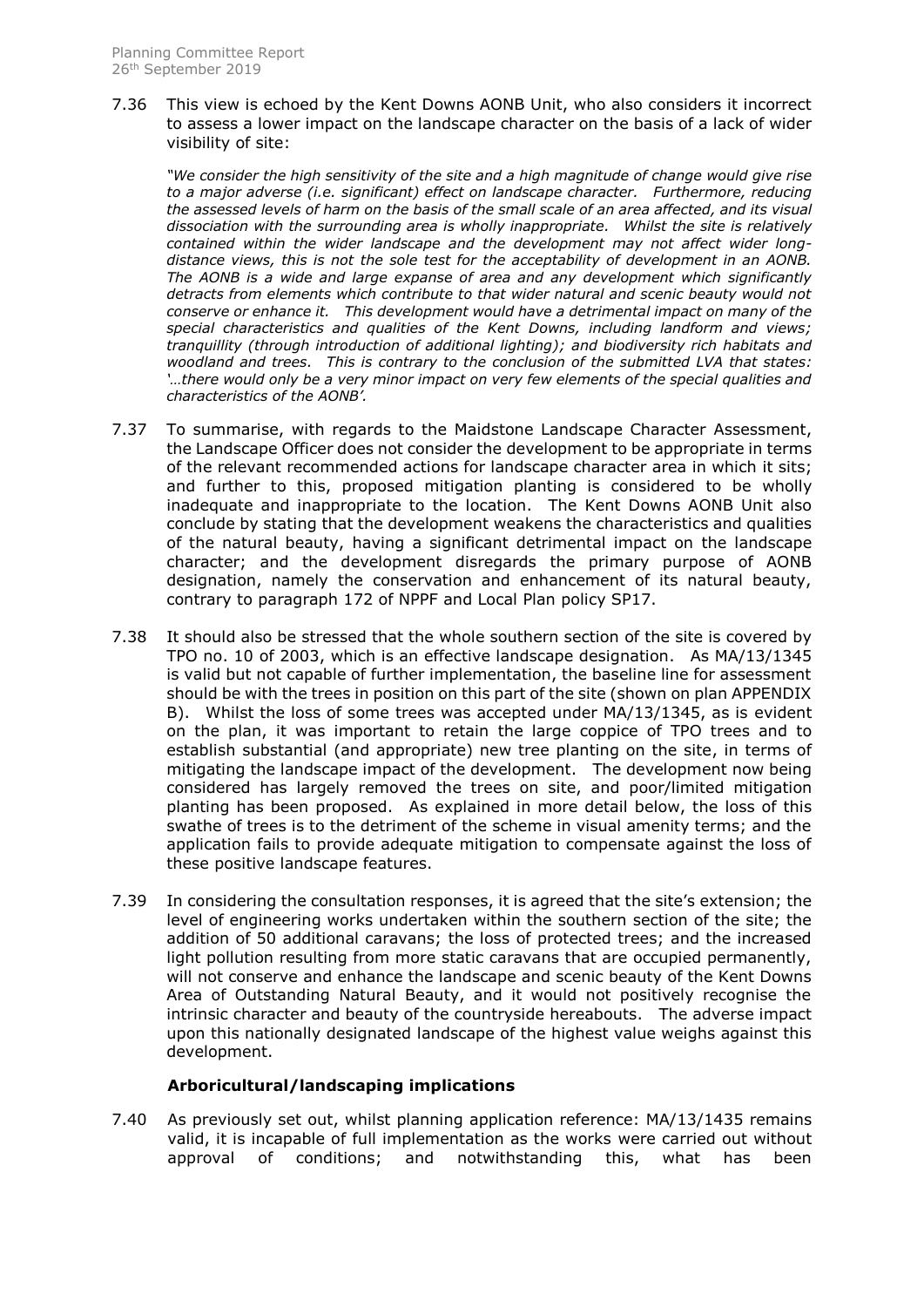7.36 This view is echoed by the Kent Downs AONB Unit, who also considers it incorrect to assess a lower impact on the landscape character on the basis of a lack of wider visibility of site:

*"We consider the high sensitivity of the site and a high magnitude of change would give rise*  to a major adverse (i.e. significant) effect on landscape character. Furthermore, reducing *the assessed levels of harm on the basis of the small scale of an area affected, and its visual dissociation with the surrounding area is wholly inappropriate. Whilst the site is relatively contained within the wider landscape and the development may not affect wider longdistance views, this is not the sole test for the acceptability of development in an AONB. The AONB is a wide and large expanse of area and any development which significantly detracts from elements which contribute to that wider natural and scenic beauty would not conserve or enhance it. This development would have a detrimental impact on many of the special characteristics and qualities of the Kent Downs, including landform and views; tranquillity (through introduction of additional lighting); and biodiversity rich habitats and woodland and trees. This is contrary to the conclusion of the submitted LVA that states: '…there would only be a very minor impact on very few elements of the special qualities and characteristics of the AONB'.* 

- 7.37 To summarise, with regards to the Maidstone Landscape Character Assessment, the Landscape Officer does not consider the development to be appropriate in terms of the relevant recommended actions for landscape character area in which it sits; and further to this, proposed mitigation planting is considered to be wholly inadequate and inappropriate to the location. The Kent Downs AONB Unit also conclude by stating that the development weakens the characteristics and qualities of the natural beauty, having a significant detrimental impact on the landscape character; and the development disregards the primary purpose of AONB designation, namely the conservation and enhancement of its natural beauty, contrary to paragraph 172 of NPPF and Local Plan policy SP17.
- 7.38 It should also be stressed that the whole southern section of the site is covered by TPO no. 10 of 2003, which is an effective landscape designation. As MA/13/1345 is valid but not capable of further implementation, the baseline line for assessment should be with the trees in position on this part of the site (shown on plan APPENDIX B). Whilst the loss of some trees was accepted under MA/13/1345, as is evident on the plan, it was important to retain the large coppice of TPO trees and to establish substantial (and appropriate) new tree planting on the site, in terms of mitigating the landscape impact of the development. The development now being considered has largely removed the trees on site, and poor/limited mitigation planting has been proposed. As explained in more detail below, the loss of this swathe of trees is to the detriment of the scheme in visual amenity terms; and the application fails to provide adequate mitigation to compensate against the loss of these positive landscape features.
- 7.39 In considering the consultation responses, it is agreed that the site's extension; the level of engineering works undertaken within the southern section of the site; the addition of 50 additional caravans; the loss of protected trees; and the increased light pollution resulting from more static caravans that are occupied permanently, will not conserve and enhance the landscape and scenic beauty of the Kent Downs Area of Outstanding Natural Beauty, and it would not positively recognise the intrinsic character and beauty of the countryside hereabouts. The adverse impact upon this nationally designated landscape of the highest value weighs against this development.

# **Arboricultural/landscaping implications**

7.40 As previously set out, whilst planning application reference: MA/13/1435 remains valid, it is incapable of full implementation as the works were carried out without approval of conditions; and notwithstanding this, what has been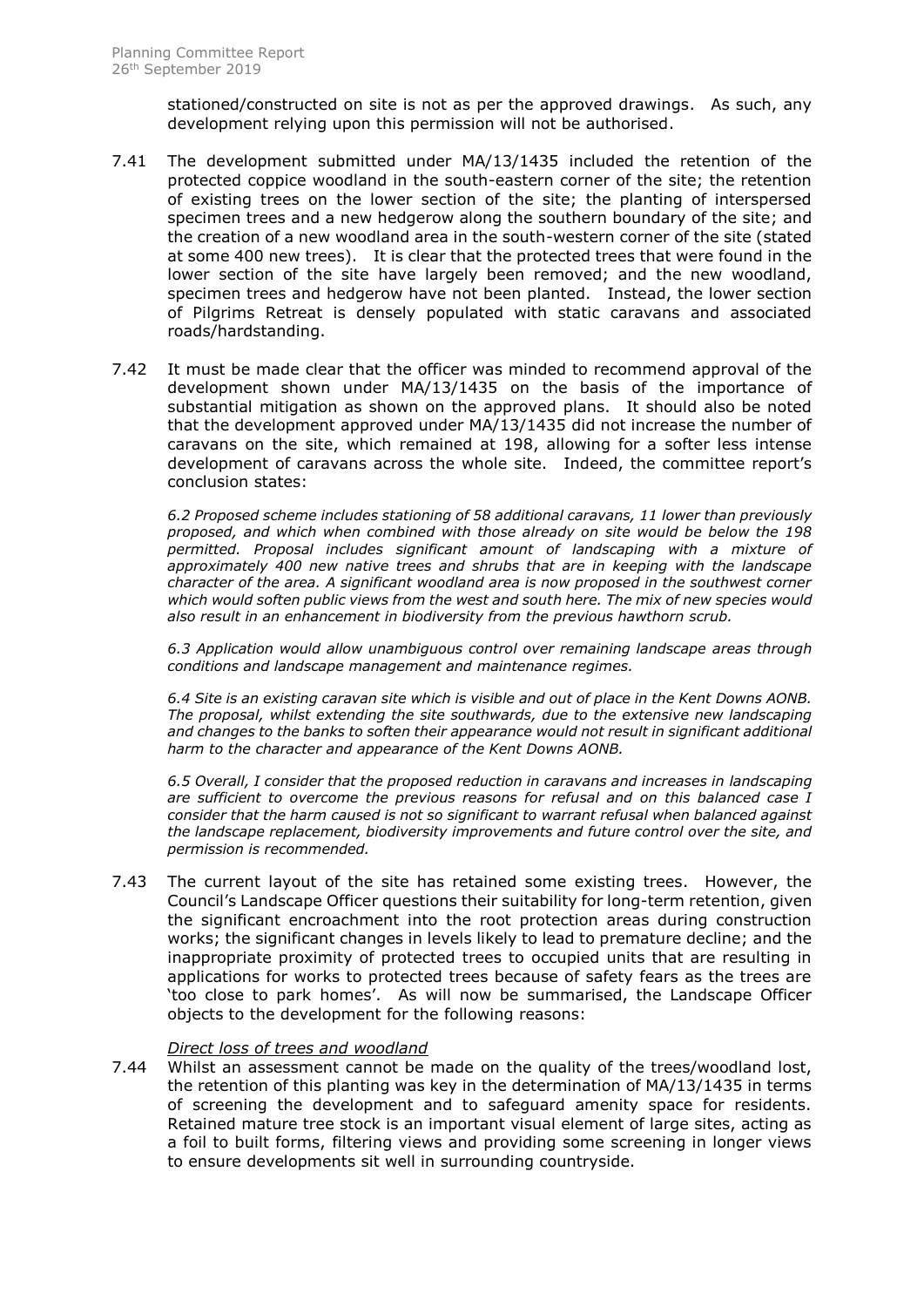stationed/constructed on site is not as per the approved drawings. As such, any development relying upon this permission will not be authorised.

- 7.41 The development submitted under MA/13/1435 included the retention of the protected coppice woodland in the south-eastern corner of the site; the retention of existing trees on the lower section of the site; the planting of interspersed specimen trees and a new hedgerow along the southern boundary of the site; and the creation of a new woodland area in the south-western corner of the site (stated at some 400 new trees). It is clear that the protected trees that were found in the lower section of the site have largely been removed; and the new woodland, specimen trees and hedgerow have not been planted. Instead, the lower section of Pilgrims Retreat is densely populated with static caravans and associated roads/hardstanding.
- 7.42 It must be made clear that the officer was minded to recommend approval of the development shown under MA/13/1435 on the basis of the importance of substantial mitigation as shown on the approved plans. It should also be noted that the development approved under MA/13/1435 did not increase the number of caravans on the site, which remained at 198, allowing for a softer less intense development of caravans across the whole site. Indeed, the committee report's conclusion states:

*6.2 Proposed scheme includes stationing of 58 additional caravans, 11 lower than previously proposed, and which when combined with those already on site would be below the 198 permitted. Proposal includes significant amount of landscaping with a mixture of approximately 400 new native trees and shrubs that are in keeping with the landscape character of the area. A significant woodland area is now proposed in the southwest corner which would soften public views from the west and south here. The mix of new species would also result in an enhancement in biodiversity from the previous hawthorn scrub.*

*6.3 Application would allow unambiguous control over remaining landscape areas through conditions and landscape management and maintenance regimes.*

*6.4 Site is an existing caravan site which is visible and out of place in the Kent Downs AONB. The proposal, whilst extending the site southwards, due to the extensive new landscaping and changes to the banks to soften their appearance would not result in significant additional harm to the character and appearance of the Kent Downs AONB.*

*6.5 Overall, I consider that the proposed reduction in caravans and increases in landscaping are sufficient to overcome the previous reasons for refusal and on this balanced case I consider that the harm caused is not so significant to warrant refusal when balanced against the landscape replacement, biodiversity improvements and future control over the site, and permission is recommended.*

7.43 The current layout of the site has retained some existing trees. However, the Council's Landscape Officer questions their suitability for long-term retention, given the significant encroachment into the root protection areas during construction works; the significant changes in levels likely to lead to premature decline; and the inappropriate proximity of protected trees to occupied units that are resulting in applications for works to protected trees because of safety fears as the trees are 'too close to park homes'. As will now be summarised, the Landscape Officer objects to the development for the following reasons:

#### *Direct loss of trees and woodland*

7.44 Whilst an assessment cannot be made on the quality of the trees/woodland lost, the retention of this planting was key in the determination of MA/13/1435 in terms of screening the development and to safeguard amenity space for residents. Retained mature tree stock is an important visual element of large sites, acting as a foil to built forms, filtering views and providing some screening in longer views to ensure developments sit well in surrounding countryside.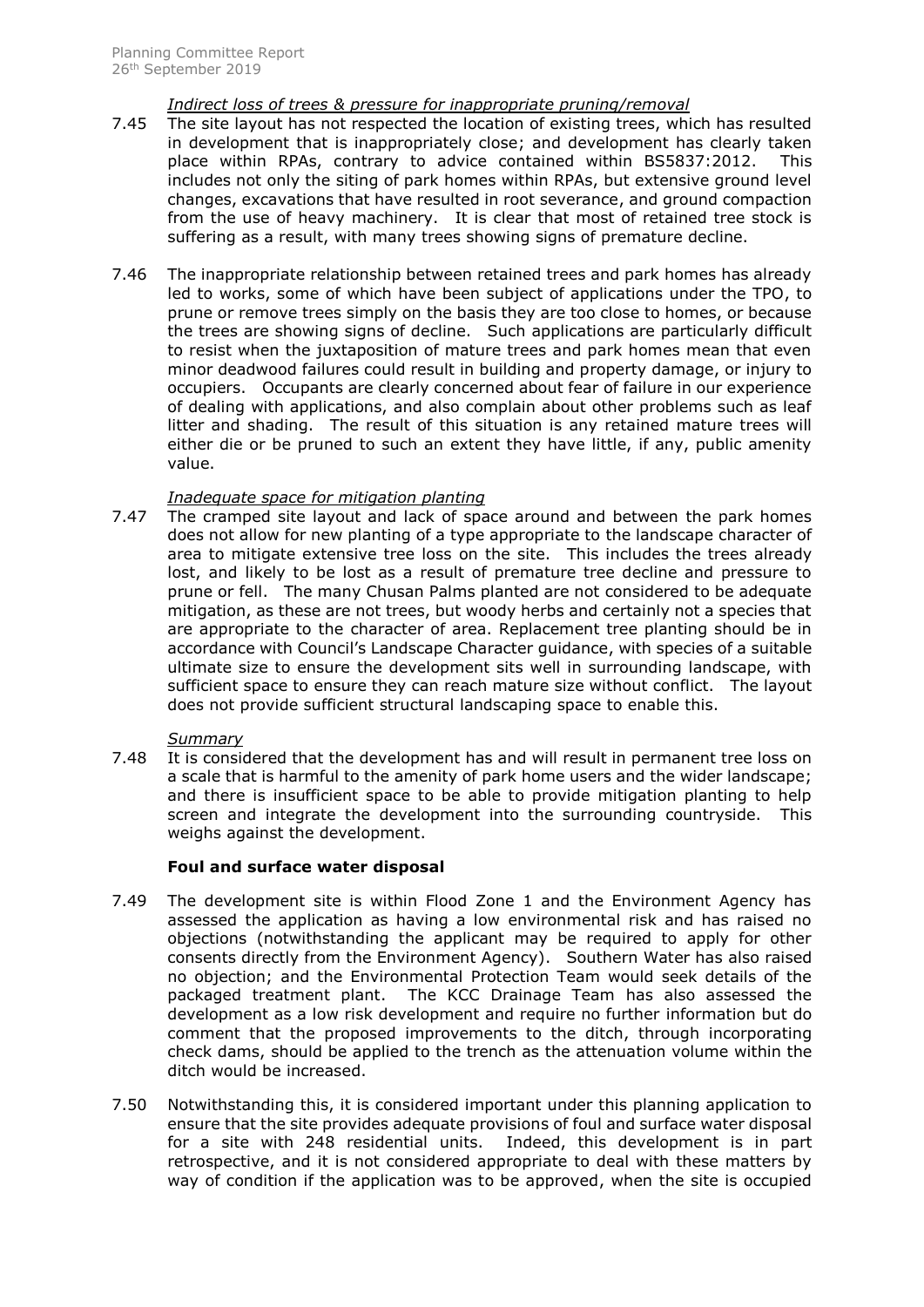## *Indirect loss of trees & pressure for inappropriate pruning/removal*

- 7.45 The site layout has not respected the location of existing trees, which has resulted in development that is inappropriately close; and development has clearly taken place within RPAs, contrary to advice contained within BS5837:2012. This includes not only the siting of park homes within RPAs, but extensive ground level changes, excavations that have resulted in root severance, and ground compaction from the use of heavy machinery. It is clear that most of retained tree stock is suffering as a result, with many trees showing signs of premature decline.
- 7.46 The inappropriate relationship between retained trees and park homes has already led to works, some of which have been subject of applications under the TPO, to prune or remove trees simply on the basis they are too close to homes, or because the trees are showing signs of decline. Such applications are particularly difficult to resist when the juxtaposition of mature trees and park homes mean that even minor deadwood failures could result in building and property damage, or injury to occupiers. Occupants are clearly concerned about fear of failure in our experience of dealing with applications, and also complain about other problems such as leaf litter and shading. The result of this situation is any retained mature trees will either die or be pruned to such an extent they have little, if any, public amenity value.

## *Inadequate space for mitigation planting*

7.47 The cramped site layout and lack of space around and between the park homes does not allow for new planting of a type appropriate to the landscape character of area to mitigate extensive tree loss on the site. This includes the trees already lost, and likely to be lost as a result of premature tree decline and pressure to prune or fell. The many Chusan Palms planted are not considered to be adequate mitigation, as these are not trees, but woody herbs and certainly not a species that are appropriate to the character of area. Replacement tree planting should be in accordance with Council's Landscape Character guidance, with species of a suitable ultimate size to ensure the development sits well in surrounding landscape, with sufficient space to ensure they can reach mature size without conflict. The layout does not provide sufficient structural landscaping space to enable this.

#### *Summary*

7.48 It is considered that the development has and will result in permanent tree loss on a scale that is harmful to the amenity of park home users and the wider landscape; and there is insufficient space to be able to provide mitigation planting to help screen and integrate the development into the surrounding countryside. This weighs against the development.

# **Foul and surface water disposal**

- 7.49 The development site is within Flood Zone 1 and the Environment Agency has assessed the application as having a low environmental risk and has raised no objections (notwithstanding the applicant may be required to apply for other consents directly from the Environment Agency). Southern Water has also raised no objection; and the Environmental Protection Team would seek details of the packaged treatment plant. The KCC Drainage Team has also assessed the development as a low risk development and require no further information but do comment that the proposed improvements to the ditch, through incorporating check dams, should be applied to the trench as the attenuation volume within the ditch would be increased.
- 7.50 Notwithstanding this, it is considered important under this planning application to ensure that the site provides adequate provisions of foul and surface water disposal for a site with 248 residential units. Indeed, this development is in part retrospective, and it is not considered appropriate to deal with these matters by way of condition if the application was to be approved, when the site is occupied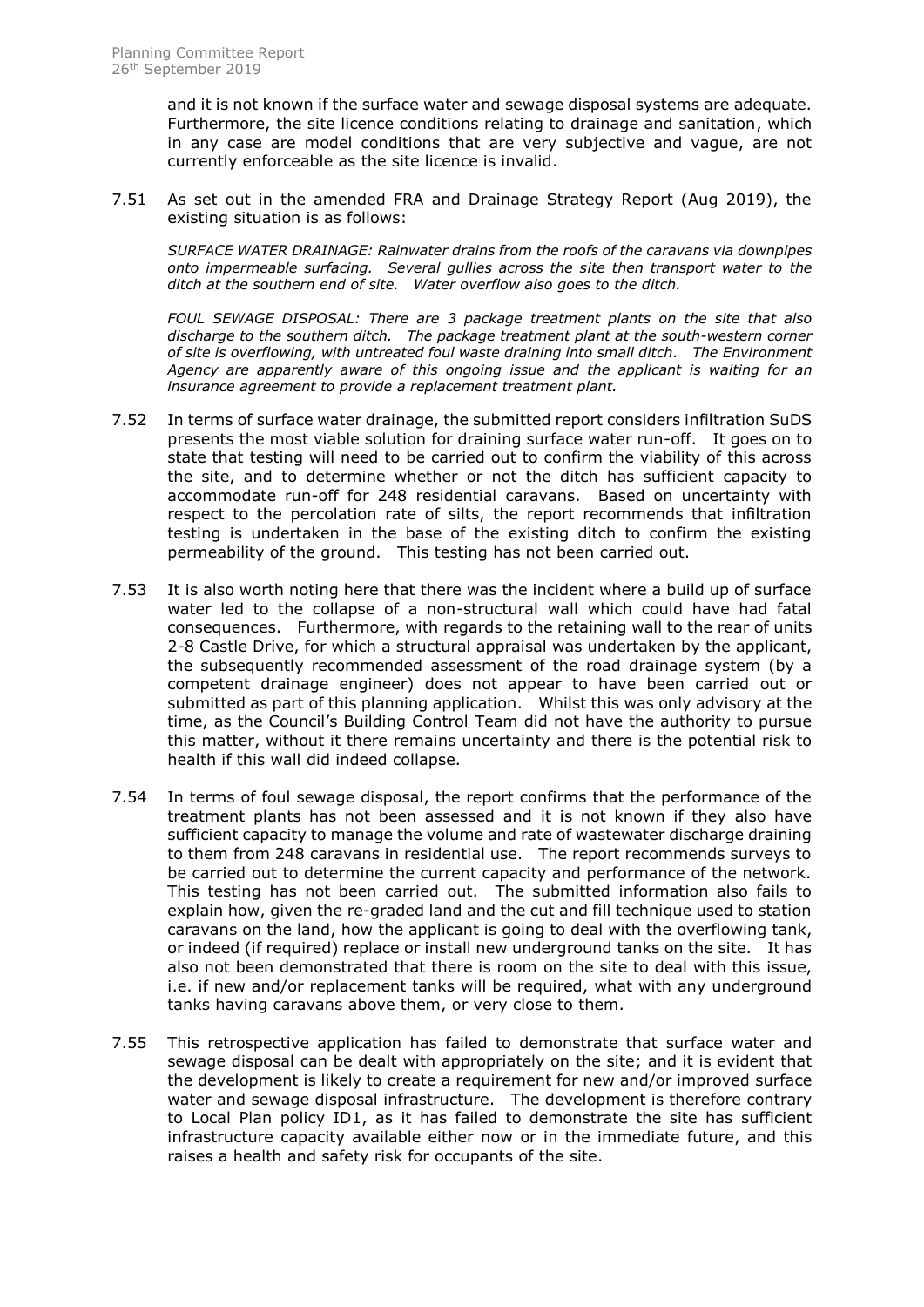and it is not known if the surface water and sewage disposal systems are adequate. Furthermore, the site licence conditions relating to drainage and sanitation, which in any case are model conditions that are very subjective and vague, are not currently enforceable as the site licence is invalid.

7.51 As set out in the amended FRA and Drainage Strategy Report (Aug 2019), the existing situation is as follows:

*SURFACE WATER DRAINAGE: Rainwater drains from the roofs of the caravans via downpipes onto impermeable surfacing. Several gullies across the site then transport water to the ditch at the southern end of site. Water overflow also goes to the ditch.*

*FOUL SEWAGE DISPOSAL: There are 3 package treatment plants on the site that also discharge to the southern ditch. The package treatment plant at the south-western corner of site is overflowing, with untreated foul waste draining into small ditch. The Environment Agency are apparently aware of this ongoing issue and the applicant is waiting for an insurance agreement to provide a replacement treatment plant.*

- 7.52 In terms of surface water drainage, the submitted report considers infiltration SuDS presents the most viable solution for draining surface water run-off. It goes on to state that testing will need to be carried out to confirm the viability of this across the site, and to determine whether or not the ditch has sufficient capacity to accommodate run-off for 248 residential caravans. Based on uncertainty with respect to the percolation rate of silts, the report recommends that infiltration testing is undertaken in the base of the existing ditch to confirm the existing permeability of the ground. This testing has not been carried out.
- 7.53 It is also worth noting here that there was the incident where a build up of surface water led to the collapse of a non-structural wall which could have had fatal consequences. Furthermore, with regards to the retaining wall to the rear of units 2-8 Castle Drive, for which a structural appraisal was undertaken by the applicant, the subsequently recommended assessment of the road drainage system (by a competent drainage engineer) does not appear to have been carried out or submitted as part of this planning application. Whilst this was only advisory at the time, as the Council's Building Control Team did not have the authority to pursue this matter, without it there remains uncertainty and there is the potential risk to health if this wall did indeed collapse.
- 7.54 In terms of foul sewage disposal, the report confirms that the performance of the treatment plants has not been assessed and it is not known if they also have sufficient capacity to manage the volume and rate of wastewater discharge draining to them from 248 caravans in residential use. The report recommends surveys to be carried out to determine the current capacity and performance of the network. This testing has not been carried out. The submitted information also fails to explain how, given the re-graded land and the cut and fill technique used to station caravans on the land, how the applicant is going to deal with the overflowing tank, or indeed (if required) replace or install new underground tanks on the site. It has also not been demonstrated that there is room on the site to deal with this issue, i.e. if new and/or replacement tanks will be required, what with any underground tanks having caravans above them, or very close to them.
- 7.55 This retrospective application has failed to demonstrate that surface water and sewage disposal can be dealt with appropriately on the site; and it is evident that the development is likely to create a requirement for new and/or improved surface water and sewage disposal infrastructure. The development is therefore contrary to Local Plan policy ID1, as it has failed to demonstrate the site has sufficient infrastructure capacity available either now or in the immediate future, and this raises a health and safety risk for occupants of the site.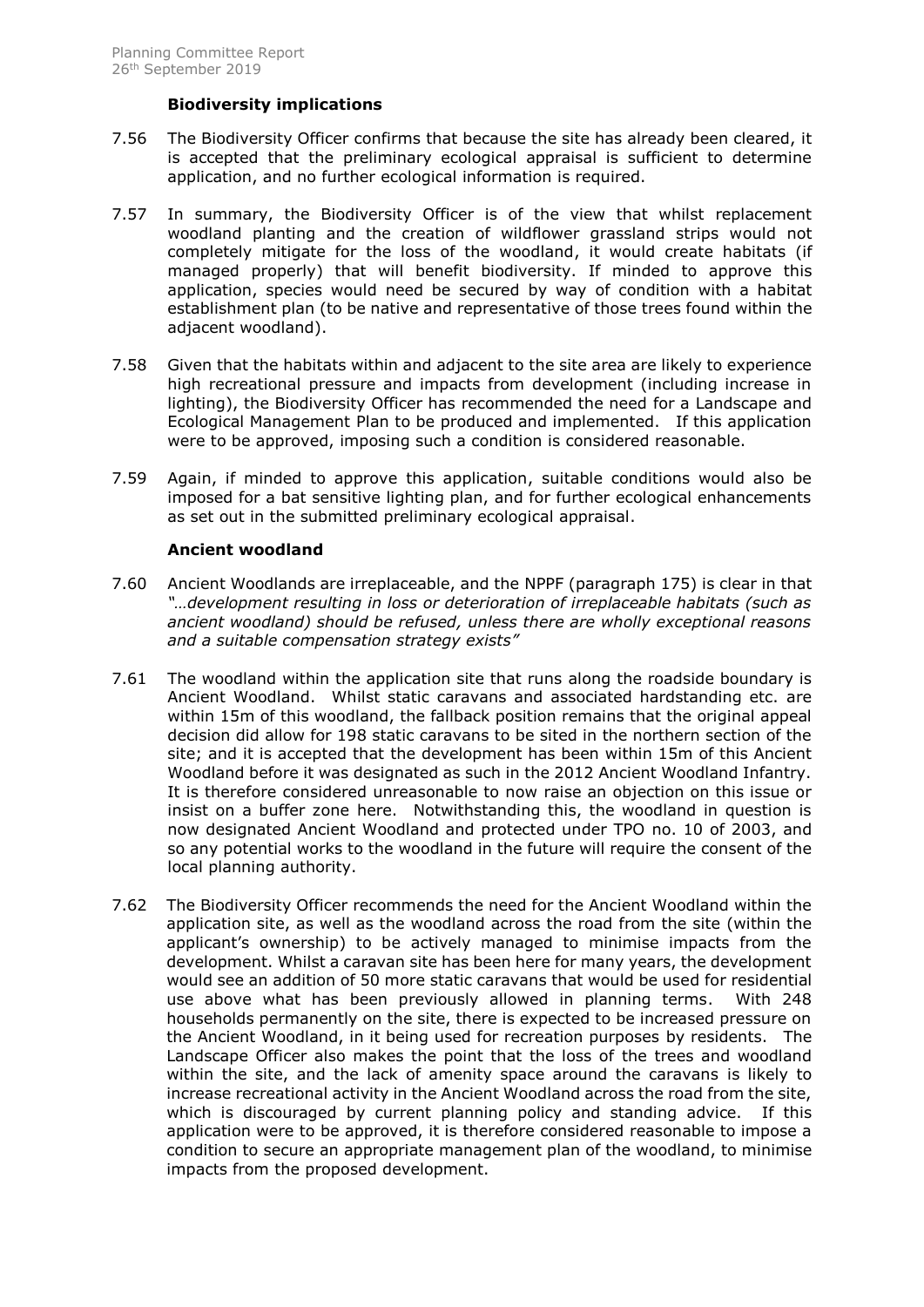## **Biodiversity implications**

- 7.56 The Biodiversity Officer confirms that because the site has already been cleared, it is accepted that the preliminary ecological appraisal is sufficient to determine application, and no further ecological information is required.
- 7.57 In summary, the Biodiversity Officer is of the view that whilst replacement woodland planting and the creation of wildflower grassland strips would not completely mitigate for the loss of the woodland, it would create habitats (if managed properly) that will benefit biodiversity. If minded to approve this application, species would need be secured by way of condition with a habitat establishment plan (to be native and representative of those trees found within the adjacent woodland).
- 7.58 Given that the habitats within and adjacent to the site area are likely to experience high recreational pressure and impacts from development (including increase in lighting), the Biodiversity Officer has recommended the need for a Landscape and Ecological Management Plan to be produced and implemented. If this application were to be approved, imposing such a condition is considered reasonable.
- 7.59 Again, if minded to approve this application, suitable conditions would also be imposed for a bat sensitive lighting plan, and for further ecological enhancements as set out in the submitted preliminary ecological appraisal.

## **Ancient woodland**

- 7.60 Ancient Woodlands are irreplaceable, and the NPPF (paragraph 175) is clear in that *"…development resulting in loss or deterioration of irreplaceable habitats (such as ancient woodland) should be refused, unless there are wholly exceptional reasons and a suitable compensation strategy exists"*
- 7.61 The woodland within the application site that runs along the roadside boundary is Ancient Woodland. Whilst static caravans and associated hardstanding etc. are within 15m of this woodland, the fallback position remains that the original appeal decision did allow for 198 static caravans to be sited in the northern section of the site; and it is accepted that the development has been within 15m of this Ancient Woodland before it was designated as such in the 2012 Ancient Woodland Infantry. It is therefore considered unreasonable to now raise an objection on this issue or insist on a buffer zone here. Notwithstanding this, the woodland in question is now designated Ancient Woodland and protected under TPO no. 10 of 2003, and so any potential works to the woodland in the future will require the consent of the local planning authority.
- 7.62 The Biodiversity Officer recommends the need for the Ancient Woodland within the application site, as well as the woodland across the road from the site (within the applicant's ownership) to be actively managed to minimise impacts from the development. Whilst a caravan site has been here for many years, the development would see an addition of 50 more static caravans that would be used for residential use above what has been previously allowed in planning terms. With 248 households permanently on the site, there is expected to be increased pressure on the Ancient Woodland, in it being used for recreation purposes by residents. The Landscape Officer also makes the point that the loss of the trees and woodland within the site, and the lack of amenity space around the caravans is likely to increase recreational activity in the Ancient Woodland across the road from the site, which is discouraged by current planning policy and standing advice. If this application were to be approved, it is therefore considered reasonable to impose a condition to secure an appropriate management plan of the woodland, to minimise impacts from the proposed development.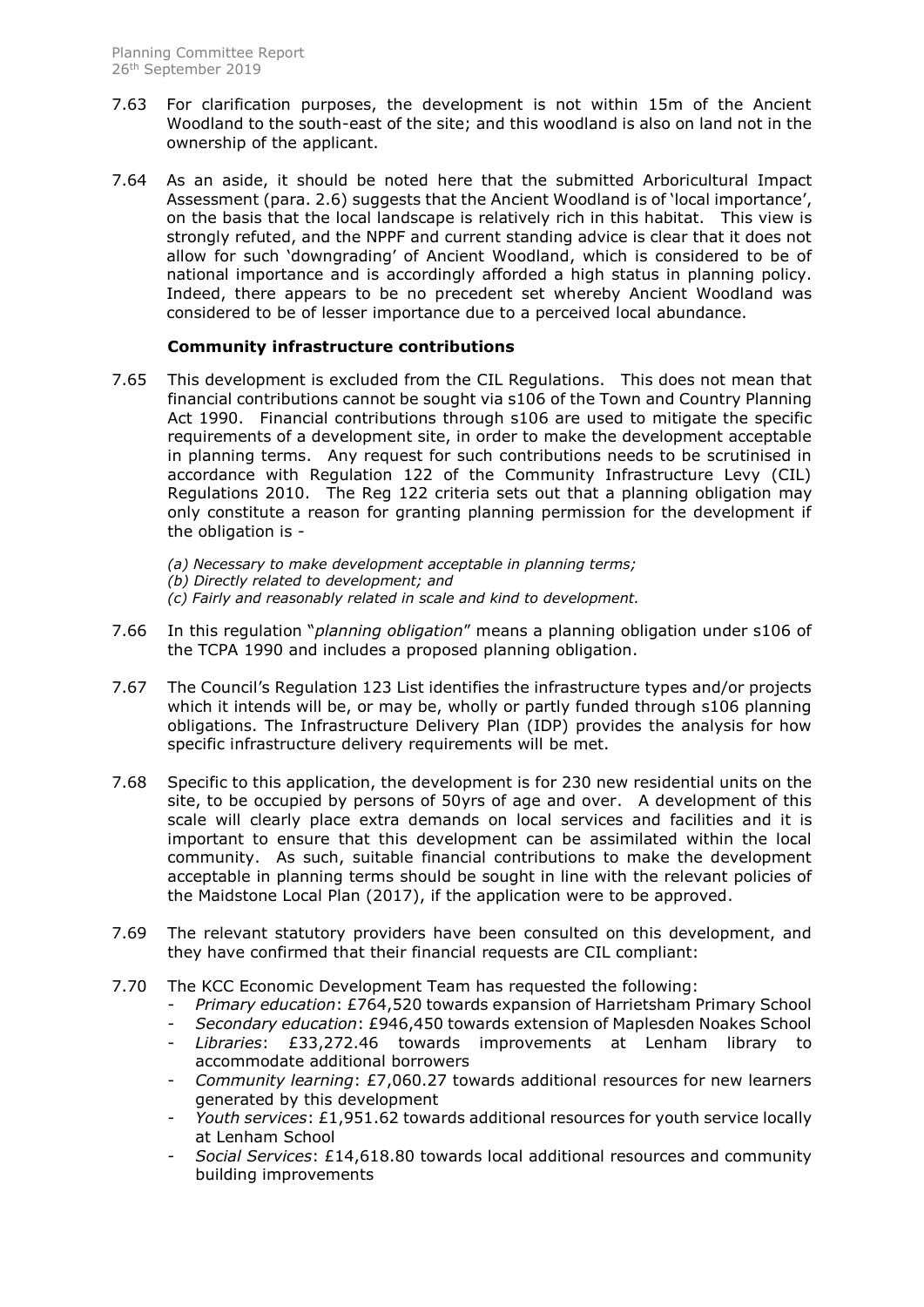- 7.63 For clarification purposes, the development is not within 15m of the Ancient Woodland to the south-east of the site; and this woodland is also on land not in the ownership of the applicant.
- 7.64 As an aside, it should be noted here that the submitted Arboricultural Impact Assessment (para. 2.6) suggests that the Ancient Woodland is of 'local importance', on the basis that the local landscape is relatively rich in this habitat. This view is strongly refuted, and the NPPF and current standing advice is clear that it does not allow for such 'downgrading' of Ancient Woodland, which is considered to be of national importance and is accordingly afforded a high status in planning policy. Indeed, there appears to be no precedent set whereby Ancient Woodland was considered to be of lesser importance due to a perceived local abundance.

## **Community infrastructure contributions**

- 7.65 This development is excluded from the CIL Regulations. This does not mean that financial contributions cannot be sought via s106 of the Town and Country Planning Act 1990. Financial contributions through s106 are used to mitigate the specific requirements of a development site, in order to make the development acceptable in planning terms. Any request for such contributions needs to be scrutinised in accordance with Regulation 122 of the Community Infrastructure Levy (CIL) Regulations 2010. The Reg 122 criteria sets out that a planning obligation may only constitute a reason for granting planning permission for the development if the obligation is -
	- *(a) Necessary to make development acceptable in planning terms;*
	- *(b) Directly related to development; and*
	- *(c) Fairly and reasonably related in scale and kind to development.*
- 7.66 In this regulation "*planning obligation*" means a planning obligation under s106 of the TCPA 1990 and includes a proposed planning obligation.
- 7.67 The Council's Regulation 123 List identifies the infrastructure types and/or projects which it intends will be, or may be, wholly or partly funded through s106 planning obligations. The Infrastructure Delivery Plan (IDP) provides the analysis for how specific infrastructure delivery requirements will be met.
- 7.68 Specific to this application, the development is for 230 new residential units on the site, to be occupied by persons of 50yrs of age and over. A development of this scale will clearly place extra demands on local services and facilities and it is important to ensure that this development can be assimilated within the local community. As such, suitable financial contributions to make the development acceptable in planning terms should be sought in line with the relevant policies of the Maidstone Local Plan (2017), if the application were to be approved.
- 7.69 The relevant statutory providers have been consulted on this development, and they have confirmed that their financial requests are CIL compliant:
- 7.70 The KCC Economic Development Team has requested the following:
	- *Primary education*: £764,520 towards expansion of Harrietsham Primary School
	- *Secondary education*: £946,450 towards extension of Maplesden Noakes School
	- *Libraries*: £33,272.46 towards improvements at Lenham library to accommodate additional borrowers
	- *Community learning*: £7,060.27 towards additional resources for new learners generated by this development
	- *Youth services*: £1,951.62 towards additional resources for youth service locally at Lenham School
	- *Social Services*: £14,618.80 towards local additional resources and community building improvements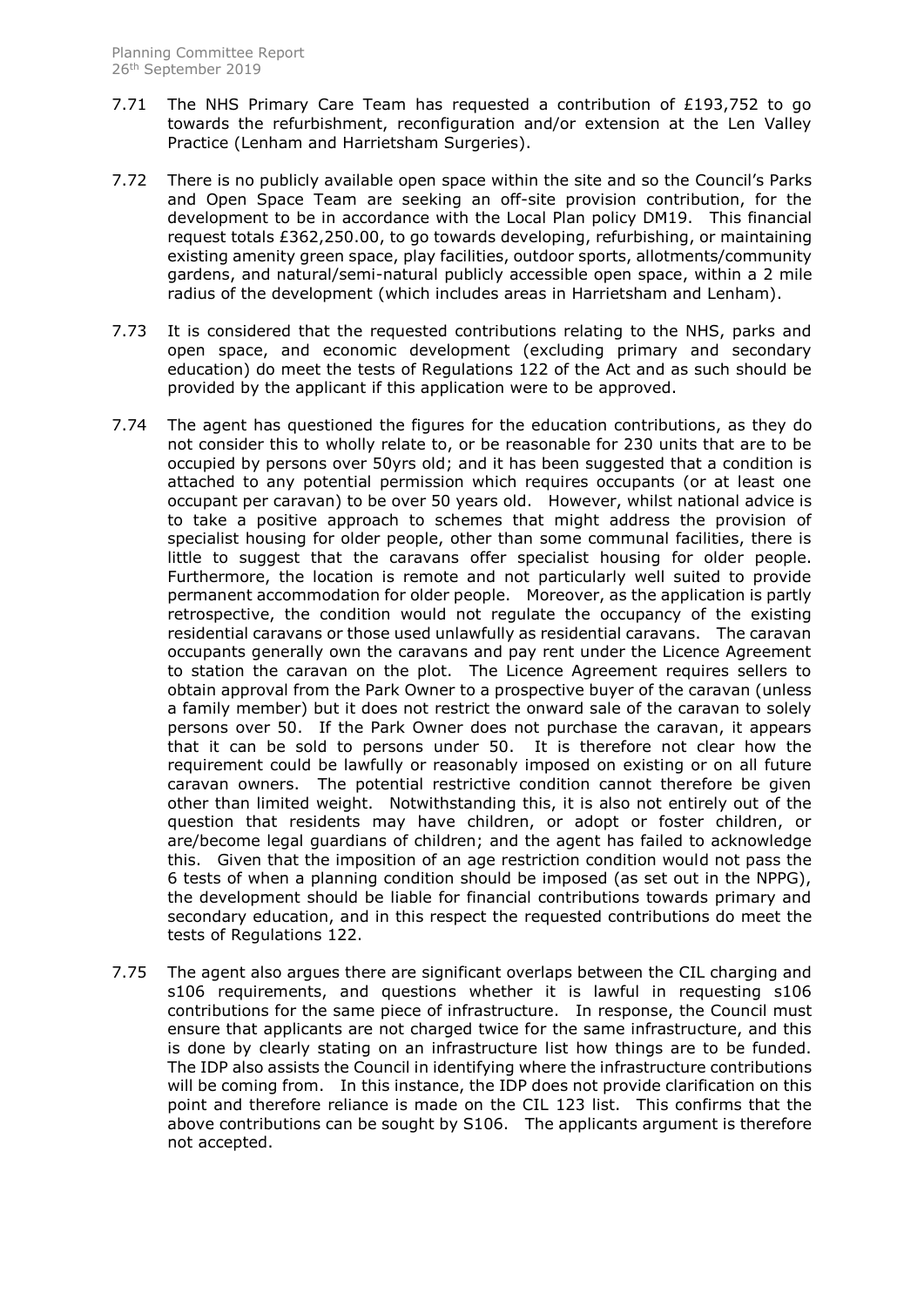- 7.71 The NHS Primary Care Team has requested a contribution of £193,752 to go towards the refurbishment, reconfiguration and/or extension at the Len Valley Practice (Lenham and Harrietsham Surgeries).
- 7.72 There is no publicly available open space within the site and so the Council's Parks and Open Space Team are seeking an off-site provision contribution, for the development to be in accordance with the Local Plan policy DM19. This financial request totals £362,250.00, to go towards developing, refurbishing, or maintaining existing amenity green space, play facilities, outdoor sports, allotments/community gardens, and natural/semi-natural publicly accessible open space, within a 2 mile radius of the development (which includes areas in Harrietsham and Lenham).
- 7.73 It is considered that the requested contributions relating to the NHS, parks and open space, and economic development (excluding primary and secondary education) do meet the tests of Regulations 122 of the Act and as such should be provided by the applicant if this application were to be approved.
- 7.74 The agent has questioned the figures for the education contributions, as they do not consider this to wholly relate to, or be reasonable for 230 units that are to be occupied by persons over 50yrs old; and it has been suggested that a condition is attached to any potential permission which requires occupants (or at least one occupant per caravan) to be over 50 years old. However, whilst national advice is to take a positive approach to schemes that might address the provision of specialist housing for older people, other than some communal facilities, there is little to suggest that the caravans offer specialist housing for older people. Furthermore, the location is remote and not particularly well suited to provide permanent accommodation for older people. Moreover, as the application is partly retrospective, the condition would not regulate the occupancy of the existing residential caravans or those used unlawfully as residential caravans. The caravan occupants generally own the caravans and pay rent under the Licence Agreement to station the caravan on the plot. The Licence Agreement requires sellers to obtain approval from the Park Owner to a prospective buyer of the caravan (unless a family member) but it does not restrict the onward sale of the caravan to solely persons over 50. If the Park Owner does not purchase the caravan, it appears that it can be sold to persons under 50. It is therefore not clear how the requirement could be lawfully or reasonably imposed on existing or on all future caravan owners. The potential restrictive condition cannot therefore be given other than limited weight. Notwithstanding this, it is also not entirely out of the question that residents may have children, or adopt or foster children, or are/become legal guardians of children; and the agent has failed to acknowledge this. Given that the imposition of an age restriction condition would not pass the 6 tests of when a planning condition should be imposed (as set out in the NPPG), the development should be liable for financial contributions towards primary and secondary education, and in this respect the requested contributions do meet the tests of Regulations 122.
- 7.75 The agent also argues there are significant overlaps between the CIL charging and s106 requirements, and questions whether it is lawful in requesting s106 contributions for the same piece of infrastructure. In response, the Council must ensure that applicants are not charged twice for the same infrastructure, and this is done by clearly stating on an infrastructure list how things are to be funded. The IDP also assists the Council in identifying where the infrastructure contributions will be coming from. In this instance, the IDP does not provide clarification on this point and therefore reliance is made on the CIL 123 list. This confirms that the above contributions can be sought by S106. The applicants argument is therefore not accepted.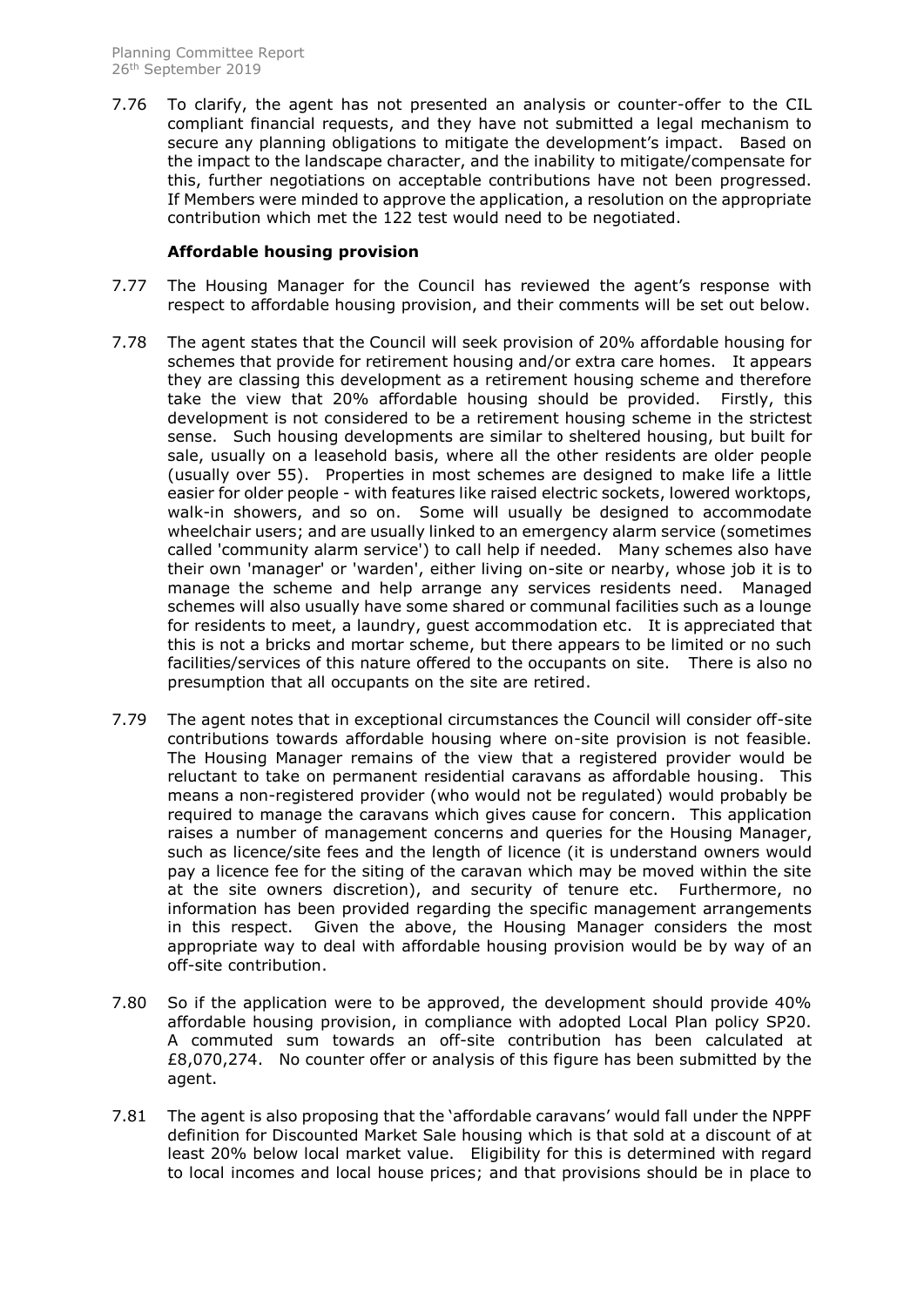7.76 To clarify, the agent has not presented an analysis or counter-offer to the CIL compliant financial requests, and they have not submitted a legal mechanism to secure any planning obligations to mitigate the development's impact. Based on the impact to the landscape character, and the inability to mitigate/compensate for this, further negotiations on acceptable contributions have not been progressed. If Members were minded to approve the application, a resolution on the appropriate contribution which met the 122 test would need to be negotiated.

## **Affordable housing provision**

- 7.77 The Housing Manager for the Council has reviewed the agent's response with respect to affordable housing provision, and their comments will be set out below.
- 7.78 The agent states that the Council will seek provision of 20% affordable housing for schemes that provide for retirement housing and/or extra care homes. It appears they are classing this development as a retirement housing scheme and therefore take the view that 20% affordable housing should be provided. Firstly, this development is not considered to be a retirement housing scheme in the strictest sense. Such housing developments are similar to sheltered housing, but built for sale, usually on a leasehold basis, where all the other residents are older people (usually over 55). Properties in most schemes are designed to make life a little easier for older people - with features like raised electric sockets, lowered worktops, walk-in showers, and so on. Some will usually be designed to accommodate wheelchair users; and are usually linked to an emergency alarm service (sometimes called 'community alarm service') to call help if needed. Many schemes also have their own 'manager' or 'warden', either living on-site or nearby, whose job it is to manage the scheme and help arrange any services residents need. Managed schemes will also usually have some shared or communal facilities such as a lounge for residents to meet, a laundry, guest accommodation etc. It is appreciated that this is not a bricks and mortar scheme, but there appears to be limited or no such facilities/services of this nature offered to the occupants on site. There is also no presumption that all occupants on the site are retired.
- 7.79 The agent notes that in exceptional circumstances the Council will consider off-site contributions towards affordable housing where on-site provision is not feasible. The Housing Manager remains of the view that a registered provider would be reluctant to take on permanent residential caravans as affordable housing. This means a non-registered provider (who would not be regulated) would probably be required to manage the caravans which gives cause for concern. This application raises a number of management concerns and queries for the Housing Manager, such as licence/site fees and the length of licence (it is understand owners would pay a licence fee for the siting of the caravan which may be moved within the site at the site owners discretion), and security of tenure etc. Furthermore, no information has been provided regarding the specific management arrangements in this respect. Given the above, the Housing Manager considers the most appropriate way to deal with affordable housing provision would be by way of an off-site contribution.
- 7.80 So if the application were to be approved, the development should provide 40% affordable housing provision, in compliance with adopted Local Plan policy SP20. A commuted sum towards an off-site contribution has been calculated at £8,070,274. No counter offer or analysis of this figure has been submitted by the agent.
- 7.81 The agent is also proposing that the 'affordable caravans' would fall under the NPPF definition for Discounted Market Sale housing which is that sold at a discount of at least 20% below local market value. Eligibility for this is determined with regard to local incomes and local house prices; and that provisions should be in place to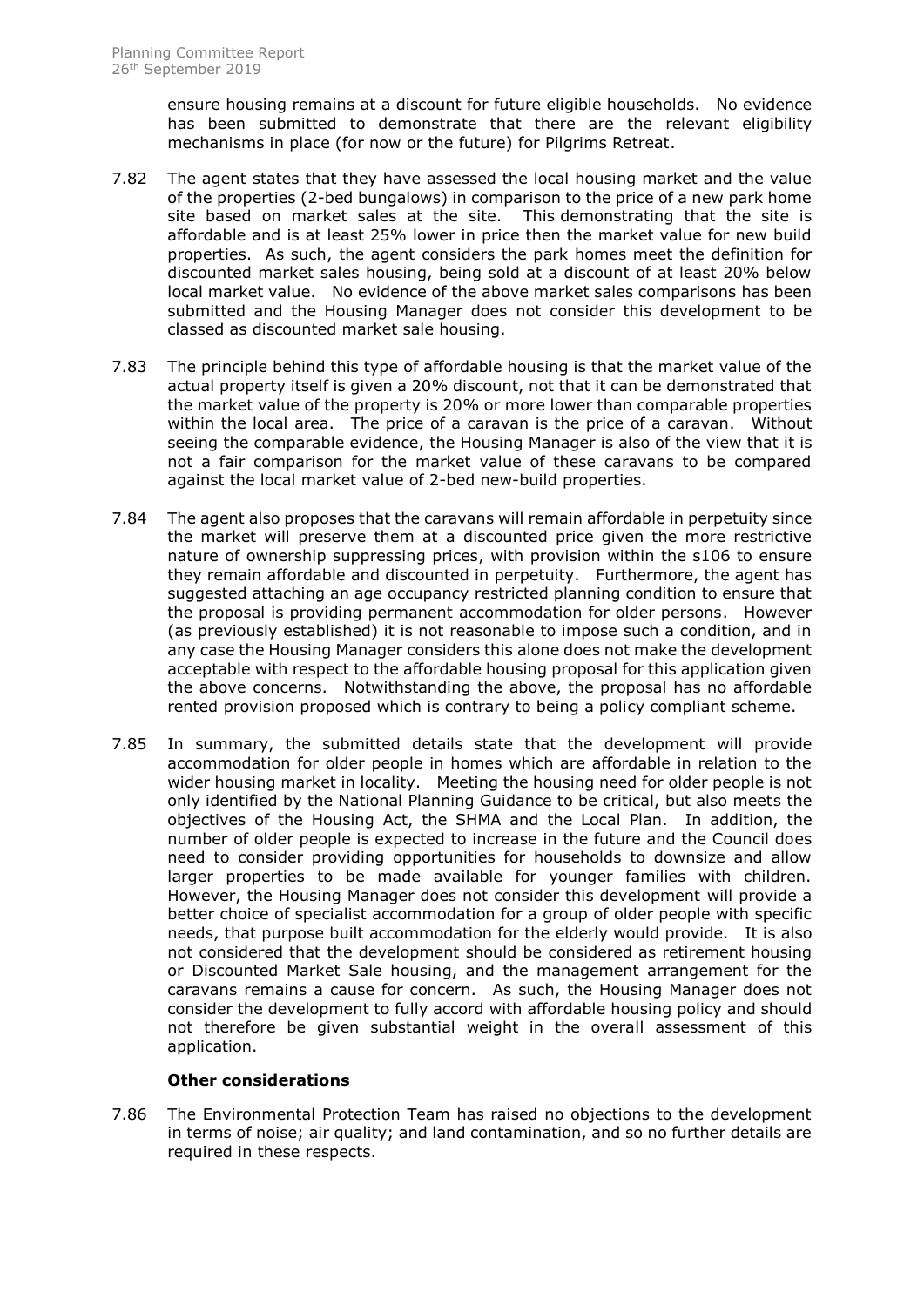ensure housing remains at a discount for future eligible households. No evidence has been submitted to demonstrate that there are the relevant eligibility mechanisms in place (for now or the future) for Pilgrims Retreat.

- 7.82 The agent states that they have assessed the local housing market and the value of the properties (2-bed bungalows) in comparison to the price of a new park home site based on market sales at the site. This demonstrating that the site is affordable and is at least 25% lower in price then the market value for new build properties. As such, the agent considers the park homes meet the definition for discounted market sales housing, being sold at a discount of at least 20% below local market value. No evidence of the above market sales comparisons has been submitted and the Housing Manager does not consider this development to be classed as discounted market sale housing.
- 7.83 The principle behind this type of affordable housing is that the market value of the actual property itself is given a 20% discount, not that it can be demonstrated that the market value of the property is 20% or more lower than comparable properties within the local area. The price of a caravan is the price of a caravan. Without seeing the comparable evidence, the Housing Manager is also of the view that it is not a fair comparison for the market value of these caravans to be compared against the local market value of 2-bed new-build properties.
- 7.84 The agent also proposes that the caravans will remain affordable in perpetuity since the market will preserve them at a discounted price given the more restrictive nature of ownership suppressing prices, with provision within the s106 to ensure they remain affordable and discounted in perpetuity. Furthermore, the agent has suggested attaching an age occupancy restricted planning condition to ensure that the proposal is providing permanent accommodation for older persons. However (as previously established) it is not reasonable to impose such a condition, and in any case the Housing Manager considers this alone does not make the development acceptable with respect to the affordable housing proposal for this application given the above concerns. Notwithstanding the above, the proposal has no affordable rented provision proposed which is contrary to being a policy compliant scheme.
- 7.85 In summary, the submitted details state that the development will provide accommodation for older people in homes which are affordable in relation to the wider housing market in locality. Meeting the housing need for older people is not only identified by the National Planning Guidance to be critical, but also meets the objectives of the Housing Act, the SHMA and the Local Plan. In addition, the number of older people is expected to increase in the future and the Council does need to consider providing opportunities for households to downsize and allow larger properties to be made available for younger families with children. However, the Housing Manager does not consider this development will provide a better choice of specialist accommodation for a group of older people with specific needs, that purpose built accommodation for the elderly would provide. It is also not considered that the development should be considered as retirement housing or Discounted Market Sale housing, and the management arrangement for the caravans remains a cause for concern. As such, the Housing Manager does not consider the development to fully accord with affordable housing policy and should not therefore be given substantial weight in the overall assessment of this application.

# **Other considerations**

7.86 The Environmental Protection Team has raised no objections to the development in terms of noise; air quality; and land contamination, and so no further details are required in these respects.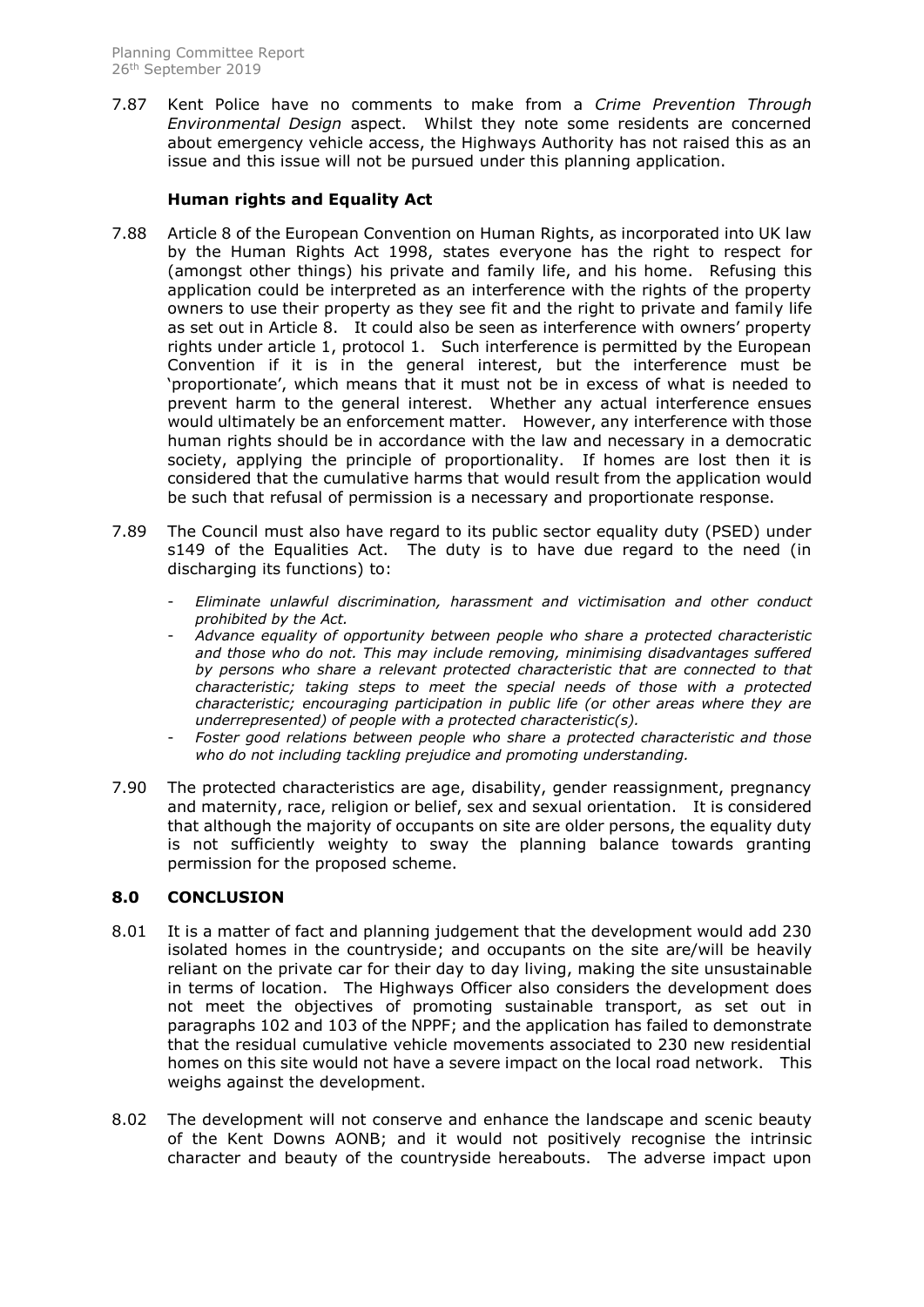7.87 Kent Police have no comments to make from a *Crime Prevention Through Environmental Design* aspect. Whilst they note some residents are concerned about emergency vehicle access, the Highways Authority has not raised this as an issue and this issue will not be pursued under this planning application.

# **Human rights and Equality Act**

- 7.88 Article 8 of the European Convention on Human Rights, as incorporated into UK law by the Human Rights Act 1998, states everyone has the right to respect for (amongst other things) his private and family life, and his home. Refusing this application could be interpreted as an interference with the rights of the property owners to use their property as they see fit and the right to private and family life as set out in Article 8. It could also be seen as interference with owners' property rights under article 1, protocol 1. Such interference is permitted by the European Convention if it is in the general interest, but the interference must be 'proportionate', which means that it must not be in excess of what is needed to prevent harm to the general interest. Whether any actual interference ensues would ultimately be an enforcement matter. However, any interference with those human rights should be in accordance with the law and necessary in a democratic society, applying the principle of proportionality. If homes are lost then it is considered that the cumulative harms that would result from the application would be such that refusal of permission is a necessary and proportionate response.
- 7.89 The Council must also have regard to its public sector equality duty (PSED) under s149 of the Equalities Act. The duty is to have due regard to the need (in discharging its functions) to:
	- *Eliminate unlawful discrimination, harassment and victimisation and other conduct prohibited by the Act.*
	- *Advance equality of opportunity between people who share a protected characteristic and those who do not. This may include removing, minimising disadvantages suffered by persons who share a relevant protected characteristic that are connected to that characteristic; taking steps to meet the special needs of those with a protected characteristic; encouraging participation in public life (or other areas where they are underrepresented) of people with a protected characteristic(s).*
	- Foster good relations between people who share a protected characteristic and those *who do not including tackling prejudice and promoting understanding.*
- 7.90 The protected characteristics are age, disability, gender reassignment, pregnancy and maternity, race, religion or belief, sex and sexual orientation. It is considered that although the majority of occupants on site are older persons, the equality duty is not sufficiently weighty to sway the planning balance towards granting permission for the proposed scheme.

# **8.0 CONCLUSION**

- 8.01 It is a matter of fact and planning judgement that the development would add 230 isolated homes in the countryside; and occupants on the site are/will be heavily reliant on the private car for their day to day living, making the site unsustainable in terms of location. The Highways Officer also considers the development does not meet the objectives of promoting sustainable transport, as set out in paragraphs 102 and 103 of the NPPF; and the application has failed to demonstrate that the residual cumulative vehicle movements associated to 230 new residential homes on this site would not have a severe impact on the local road network. This weighs against the development.
- 8.02 The development will not conserve and enhance the landscape and scenic beauty of the Kent Downs AONB; and it would not positively recognise the intrinsic character and beauty of the countryside hereabouts. The adverse impact upon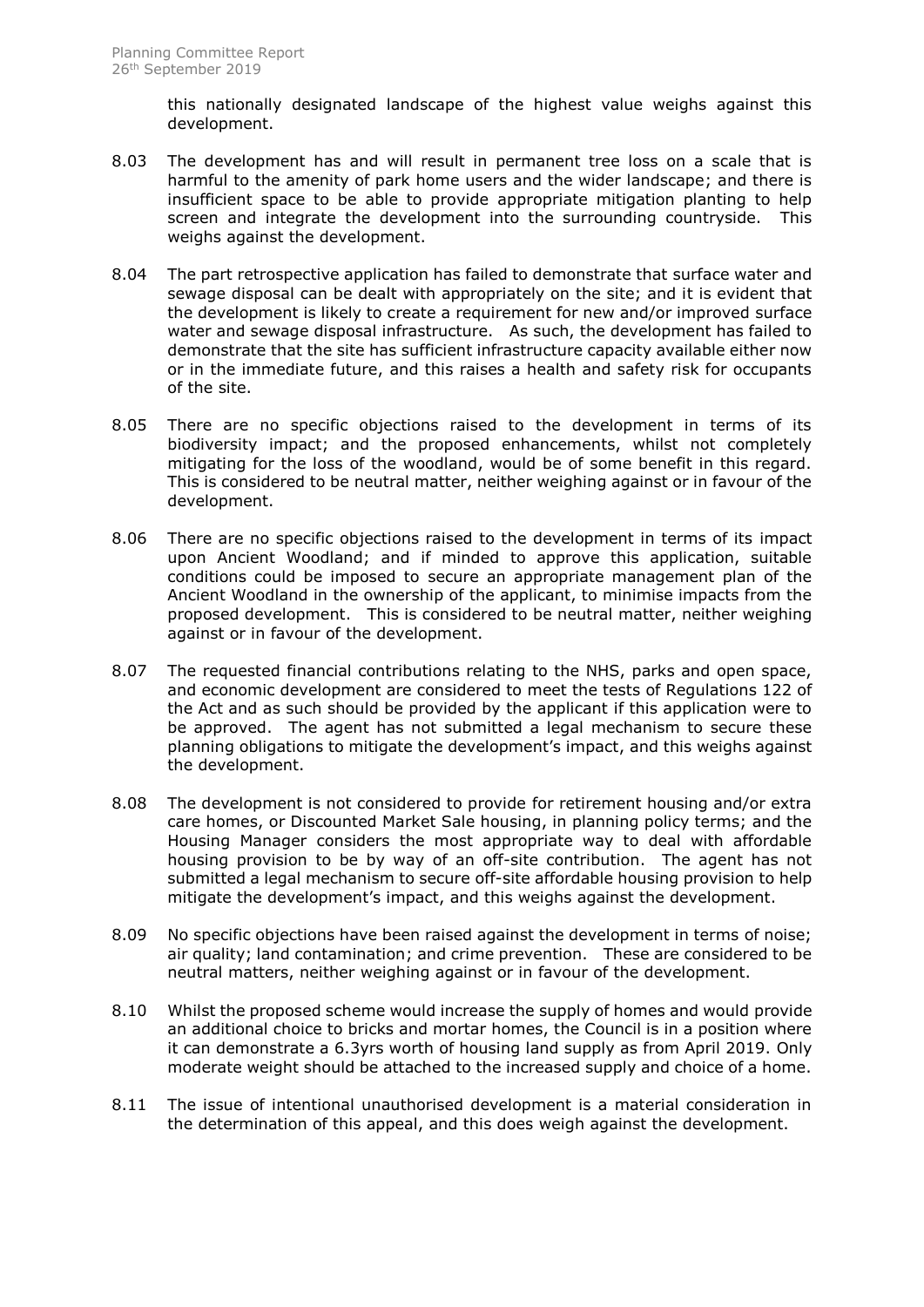this nationally designated landscape of the highest value weighs against this development.

- 8.03 The development has and will result in permanent tree loss on a scale that is harmful to the amenity of park home users and the wider landscape; and there is insufficient space to be able to provide appropriate mitigation planting to help screen and integrate the development into the surrounding countryside. This weighs against the development.
- 8.04 The part retrospective application has failed to demonstrate that surface water and sewage disposal can be dealt with appropriately on the site; and it is evident that the development is likely to create a requirement for new and/or improved surface water and sewage disposal infrastructure. As such, the development has failed to demonstrate that the site has sufficient infrastructure capacity available either now or in the immediate future, and this raises a health and safety risk for occupants of the site.
- 8.05 There are no specific objections raised to the development in terms of its biodiversity impact; and the proposed enhancements, whilst not completely mitigating for the loss of the woodland, would be of some benefit in this regard. This is considered to be neutral matter, neither weighing against or in favour of the development.
- 8.06 There are no specific objections raised to the development in terms of its impact upon Ancient Woodland; and if minded to approve this application, suitable conditions could be imposed to secure an appropriate management plan of the Ancient Woodland in the ownership of the applicant, to minimise impacts from the proposed development. This is considered to be neutral matter, neither weighing against or in favour of the development.
- 8.07 The requested financial contributions relating to the NHS, parks and open space, and economic development are considered to meet the tests of Regulations 122 of the Act and as such should be provided by the applicant if this application were to be approved. The agent has not submitted a legal mechanism to secure these planning obligations to mitigate the development's impact, and this weighs against the development.
- 8.08 The development is not considered to provide for retirement housing and/or extra care homes, or Discounted Market Sale housing, in planning policy terms; and the Housing Manager considers the most appropriate way to deal with affordable housing provision to be by way of an off-site contribution. The agent has not submitted a legal mechanism to secure off-site affordable housing provision to help mitigate the development's impact, and this weighs against the development.
- 8.09 No specific objections have been raised against the development in terms of noise; air quality; land contamination; and crime prevention. These are considered to be neutral matters, neither weighing against or in favour of the development.
- 8.10 Whilst the proposed scheme would increase the supply of homes and would provide an additional choice to bricks and mortar homes, the Council is in a position where it can demonstrate a 6.3yrs worth of housing land supply as from April 2019. Only moderate weight should be attached to the increased supply and choice of a home.
- 8.11 The issue of intentional unauthorised development is a material consideration in the determination of this appeal, and this does weigh against the development.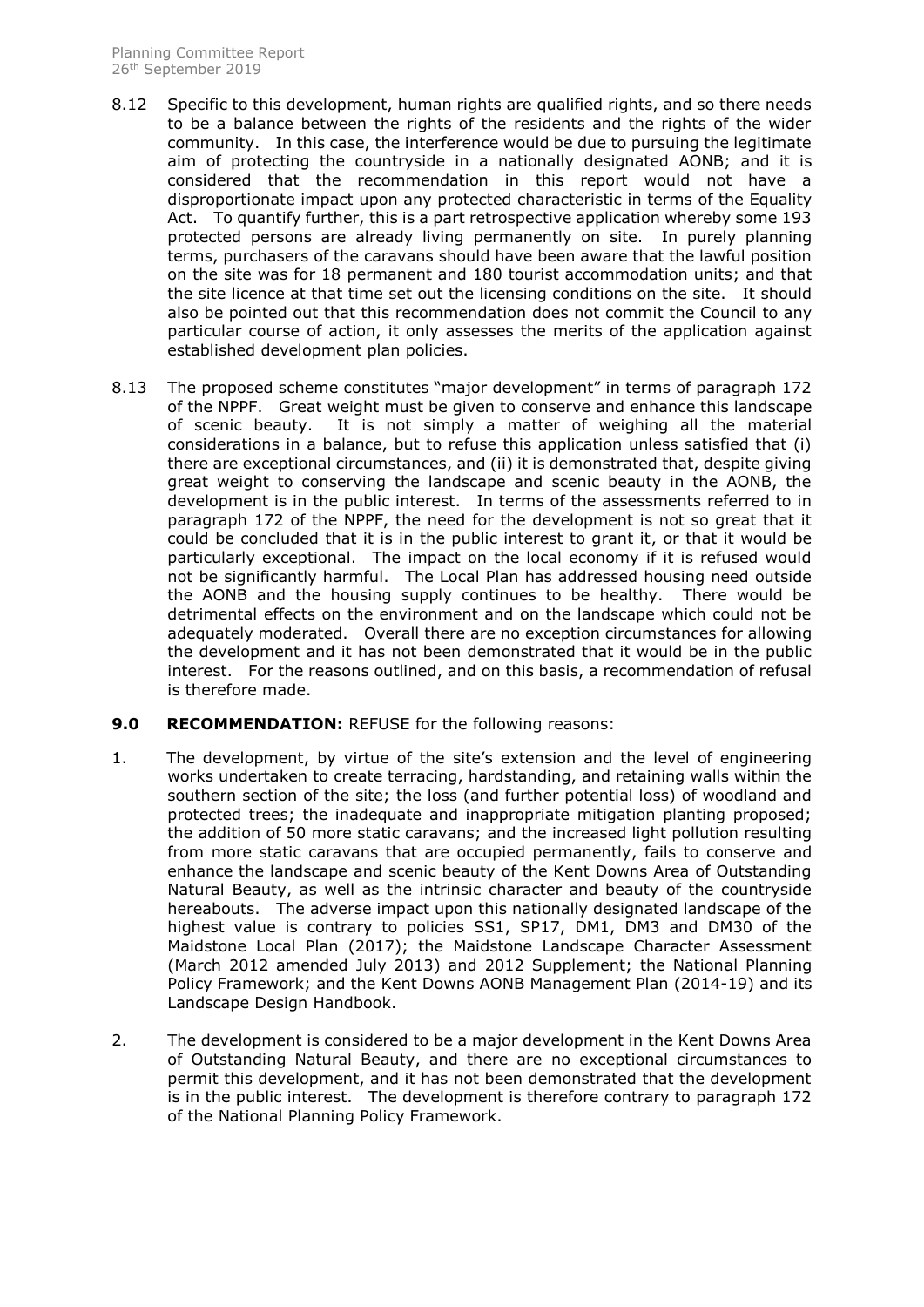- 8.12 Specific to this development, human rights are qualified rights, and so there needs to be a balance between the rights of the residents and the rights of the wider community. In this case, the interference would be due to pursuing the legitimate aim of protecting the countryside in a nationally designated AONB; and it is considered that the recommendation in this report would not have a disproportionate impact upon any protected characteristic in terms of the Equality Act. To quantify further, this is a part retrospective application whereby some 193 protected persons are already living permanently on site. In purely planning terms, purchasers of the caravans should have been aware that the lawful position on the site was for 18 permanent and 180 tourist accommodation units; and that the site licence at that time set out the licensing conditions on the site. It should also be pointed out that this recommendation does not commit the Council to any particular course of action, it only assesses the merits of the application against established development plan policies.
- 8.13 The proposed scheme constitutes "major development" in terms of paragraph 172 of the NPPF. Great weight must be given to conserve and enhance this landscape of scenic beauty. It is not simply a matter of weighing all the material considerations in a balance, but to refuse this application unless satisfied that (i) there are exceptional circumstances, and (ii) it is demonstrated that, despite giving great weight to conserving the landscape and scenic beauty in the AONB, the development is in the public interest. In terms of the assessments referred to in paragraph 172 of the NPPF, the need for the development is not so great that it could be concluded that it is in the public interest to grant it, or that it would be particularly exceptional. The impact on the local economy if it is refused would not be significantly harmful. The Local Plan has addressed housing need outside the AONB and the housing supply continues to be healthy. There would be detrimental effects on the environment and on the landscape which could not be adequately moderated. Overall there are no exception circumstances for allowing the development and it has not been demonstrated that it would be in the public interest. For the reasons outlined, and on this basis, a recommendation of refusal is therefore made.

# **9.0 RECOMMENDATION:** REFUSE for the following reasons:

- 1. The development, by virtue of the site's extension and the level of engineering works undertaken to create terracing, hardstanding, and retaining walls within the southern section of the site; the loss (and further potential loss) of woodland and protected trees; the inadequate and inappropriate mitigation planting proposed; the addition of 50 more static caravans; and the increased light pollution resulting from more static caravans that are occupied permanently, fails to conserve and enhance the landscape and scenic beauty of the Kent Downs Area of Outstanding Natural Beauty, as well as the intrinsic character and beauty of the countryside hereabouts. The adverse impact upon this nationally designated landscape of the highest value is contrary to policies SS1, SP17, DM1, DM3 and DM30 of the Maidstone Local Plan (2017); the Maidstone Landscape Character Assessment (March 2012 amended July 2013) and 2012 Supplement; the National Planning Policy Framework; and the Kent Downs AONB Management Plan (2014-19) and its Landscape Design Handbook.
- 2. The development is considered to be a major development in the Kent Downs Area of Outstanding Natural Beauty, and there are no exceptional circumstances to permit this development, and it has not been demonstrated that the development is in the public interest. The development is therefore contrary to paragraph 172 of the National Planning Policy Framework.